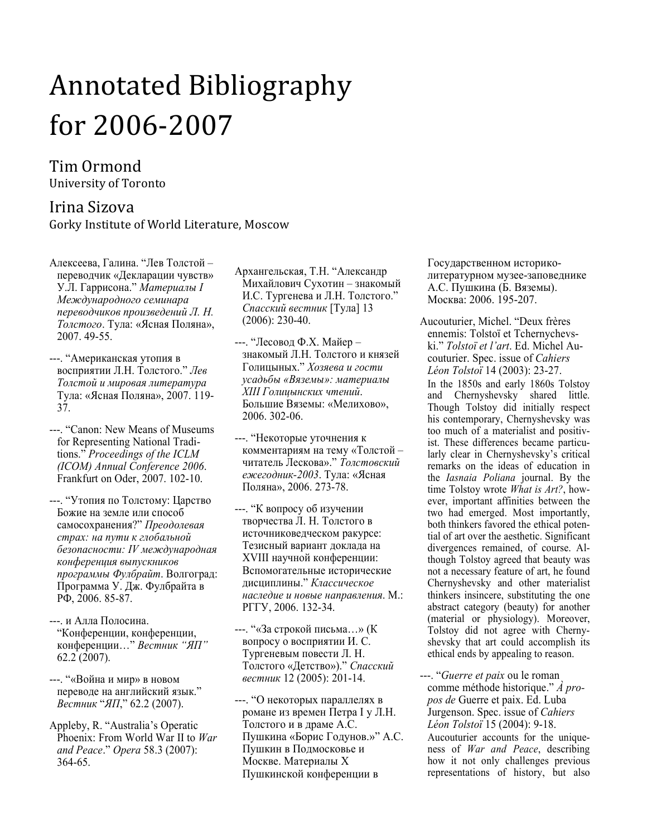# Annotated Bibliography for 2006-2007

# Tim Ormond University of Toronto

## Irina Sizova Gorky Institute of World Literature, Moscow

- Алексеева, Галина. "Лев Толстой переводчик «Декларации чувств» У.Л. Гаррисона." Материалы I Международного семинара переводчиков произведений Л. Н. Толстого. Тула: «Ясная Поляна», 2007. 49-55.
- ---. "Американская утопия в восприятии Л.Н. Толстого." Лев Толстой и мировая литература Тула: «Ясная Поляна», 2007. 119- 37.
- ---. "Canon: New Means of Museums for Representing National Traditions." Proceedings of the ICLM (ICOM) Annual Conference 2006. Frankfurt on Oder, 2007. 102-10.
- ---. "Утопия по Толстому: Царство Божие на земле или способ самосохранения?" Преодолевая страх: на пути к глобальной безопасности: IV международная конференция выпускников программы Фулбрайт. Волгоград: Программа У. Дж. Фулбрайта в РФ, 2006. 85-87.
- ---. и Алла Полосина. "Конференции, конференции, конференции…" Вестник "ЯП" 62.2 (2007).
- ---. "«Война и мир» в новом переводе на английский язык." Вестник "ЯП," 62.2 (2007).
- Appleby, R. "Australia's Operatic Phoenix: From World War II to War and Peace." Opera 58.3 (2007): 364-65.
- Архангельская, Т.Н. "Александр Михайлович Сухотин – знакомый И.С. Тургенева и Л.Н. Толстого." Спасский вестник [Тула] 13 (2006): 230-40.
- ---. "Лесовод Ф.Х. Майер знакомый Л.Н. Толстого и князей Голицыных." Хозяева и гости усадьбы «Вяземы»: материалы XIII Голицынских чтений. Большие Вяземы: «Мелихово», 2006. 302-06.
- ---. "Некоторые уточнения к комментариям на тему «Толстой – читатель Лескова»." Толстовский ежегодник-2003. Тула: «Ясная Поляна», 2006. 273-78.
- ---. "К вопросу об изучении творчества Л. Н. Толстого в источниковедческом ракурсе: Тезисный вариант доклада на XVIII научной конференции: Вспомогательные исторические дисциплины." Классическое наследие и новые направления. М.: РГГУ, 2006. 132-34.
- ---. "«За строкой письма…» (К вопросу о восприятии И. С. Тургеневым повести Л. Н. Толстого «Детство»)." Спасский вестник 12 (2005): 201-14.
- ---. "О некоторых параллелях в романе из времен Петра I у Л.Н. Толстого и в драме А.С. Пушкина «Борис Годунов.»" А.С. Пушкин в Подмосковье и Москве. Материалы X Пушкинской конференции в

Государственном историколитературном музее-заповеднике А.С. Пушкина (Б. Вяземы). Москва: 2006. 195-207.

Aucouturier, Michel. "Deux frères ennemis: Tolstoï et Tchernychevski." Tolstoï et l'art. Ed. Michel Aucouturier. Spec. issue of Cahiers Léon Tolstoï 14 (2003): 23-27. In the 1850s and early 1860s Tolstoy and Chernyshevsky shared little. Though Tolstoy did initially respect his contemporary, Chernyshevsky was too much of a materialist and positivist. These differences became particularly clear in Chernyshevsky's critical remarks on the ideas of education in the Iasnaia Poliana journal. By the time Tolstoy wrote *What is Art?*, however, important affinities between the two had emerged. Most importantly, both thinkers favored the ethical potential of art over the aesthetic. Significant divergences remained, of course. Although Tolstoy agreed that beauty was not a necessary feature of art, he found Chernyshevsky and other materialist thinkers insincere, substituting the one abstract category (beauty) for another (material or physiology). Moreover, Tolstoy did not agree with Chernyshevsky that art could accomplish its ethical ends by appealing to reason.

---. "*Guerre et paix* ou le roman comme méthode historique." À propos de Guerre et paix. Ed. Luba Jurgenson. Spec. issue of Cahiers Léon Tolstoï 15 (2004): 9-18. Aucouturier accounts for the uniqueness of War and Peace, describing how it not only challenges previous representations of history, but also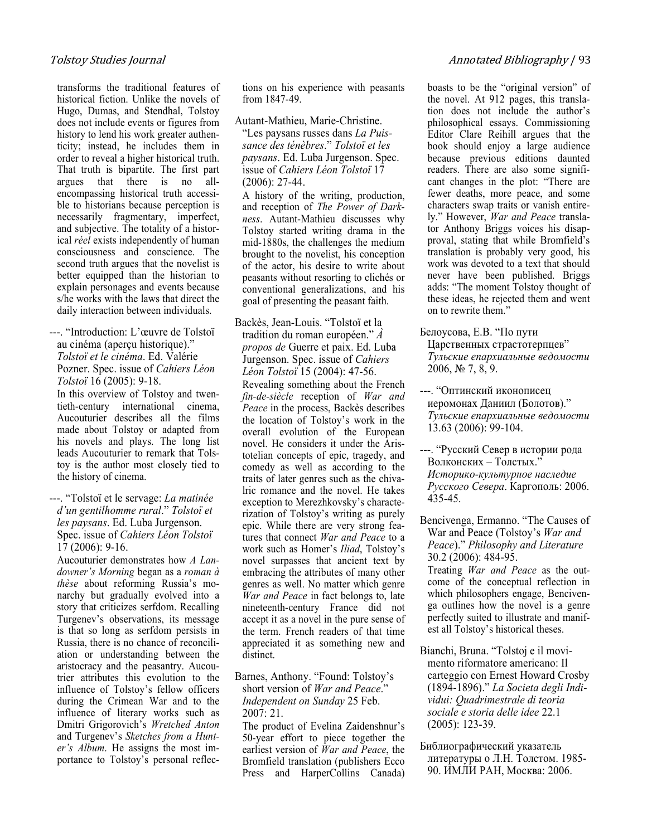transforms the traditional features of historical fiction. Unlike the novels of Hugo, Dumas, and Stendhal, Tolstoy does not include events or figures from history to lend his work greater authenticity; instead, he includes them in order to reveal a higher historical truth. That truth is bipartite. The first part argues that there is no allencompassing historical truth accessible to historians because perception is necessarily fragmentary, imperfect, and subjective. The totality of a historical réel exists independently of human consciousness and conscience. The second truth argues that the novelist is better equipped than the historian to explain personages and events because s/he works with the laws that direct the daily interaction between individuals.

---. "Introduction: L'œuvre de Tolstoï au cinéma (aperçu historique)." Tolstoï et le cinéma. Ed. Valérie Pozner. Spec. issue of Cahiers Léon Tolstoï 16 (2005): 9-18.

In this overview of Tolstoy and twentieth-century international cinema, Aucouturier describes all the films made about Tolstoy or adapted from his novels and plays. The long list leads Aucouturier to remark that Tolstoy is the author most closely tied to the history of cinema.

---. "Tolstoï et le servage: La matinée d'un gentilhomme rural." Tolstoï et les paysans. Ed. Luba Jurgenson. Spec. issue of Cahiers Léon Tolstoï 17 (2006): 9-16.

Aucouturier demonstrates how A Landowner's Morning began as a roman à thèse about reforming Russia's monarchy but gradually evolved into a story that criticizes serfdom. Recalling Turgenev's observations, its message is that so long as serfdom persists in Russia, there is no chance of reconciliation or understanding between the aristocracy and the peasantry. Aucoutrier attributes this evolution to the influence of Tolstoy's fellow officers during the Crimean War and to the influence of literary works such as Dmitri Grigorovich's Wretched Anton and Turgenev's Sketches from a Hunter's Album. He assigns the most importance to Tolstoy's personal reflections on his experience with peasants from 1847-49.

Autant-Mathieu, Marie-Christine.

"Les paysans russes dans La Puissance des ténèbres." Tolstoï et les paysans. Ed. Luba Jurgenson. Spec. issue of Cahiers Léon Tolstoï 17 (2006): 27-44.

A history of the writing, production, and reception of The Power of Darkness. Autant-Mathieu discusses why Tolstoy started writing drama in the mid-1880s, the challenges the medium brought to the novelist, his conception of the actor, his desire to write about peasants without resorting to clichés or conventional generalizations, and his goal of presenting the peasant faith.

- Backès, Jean-Louis. "Tolstoï et la tradition du roman européen." À propos de Guerre et paix. Ed. Luba Jurgenson. Spec. issue of Cahiers Léon Tolstoï 15 (2004): 47-56. Revealing something about the French fin-de-siècle reception of War and Peace in the process, Backès describes the location of Tolstoy's work in the overall evolution of the European novel. He considers it under the Aristotelian concepts of epic, tragedy, and comedy as well as according to the traits of later genres such as the chivalric romance and the novel. He takes exception to Merezhkovsky's characterization of Tolstoy's writing as purely epic. While there are very strong features that connect War and Peace to a work such as Homer's Iliad, Tolstoy's novel surpasses that ancient text by embracing the attributes of many other genres as well. No matter which genre War and Peace in fact belongs to, late nineteenth-century France did not accept it as a novel in the pure sense of the term. French readers of that time appreciated it as something new and distinct.
- Barnes, Anthony. "Found: Tolstoy's short version of War and Peace." Independent on Sunday 25 Feb. 2007: 21.

The product of Evelina Zaidenshnur's 50-year effort to piece together the earliest version of War and Peace, the Bromfield translation (publishers Ecco Press and HarperCollins Canada) boasts to be the "original version" of the novel. At 912 pages, this translation does not include the author's philosophical essays. Commissioning Editor Clare Reihill argues that the book should enjoy a large audience because previous editions daunted readers. There are also some significant changes in the plot: "There are fewer deaths, more peace, and some characters swap traits or vanish entirely." However, War and Peace translator Anthony Briggs voices his disapproval, stating that while Bromfield's translation is probably very good, his work was devoted to a text that should never have been published. Briggs adds: "The moment Tolstoy thought of these ideas, he rejected them and went on to rewrite them."

- Белоусова, Е.В. "По пути Царственных страстотерпцев" Тульские епархиальные ведомости 2006, № 7, 8, 9.
- ---. "Оптинский иконописец иеромонах Даниил (Болотов)." Тульские епархиальные ведомости 13.63 (2006): 99-104.
- ---. "Русский Север в истории рода Волконских – Толстых." Историко-культурное наследие Русского Севера. Каргополь: 2006. 435-45.
- Bencivenga, Ermanno. "The Causes of War and Peace (Tolstoy's War and Peace)." Philosophy and Literature 30.2 (2006): 484-95.

Treating War and Peace as the outcome of the conceptual reflection in which philosophers engage, Bencivenga outlines how the novel is a genre perfectly suited to illustrate and manifest all Tolstoy's historical theses.

- Bianchi, Bruna. "Tolstoj e il movimento riformatore americano: Il carteggio con Ernest Howard Crosby (1894-1896)." La Societa degli Individui: Quadrimestrale di teoria sociale e storia delle idee 22.1 (2005): 123-39.
- Библиографический указатель литературы о Л.Н. Толстом. 1985- 90. ИМЛИ РАН, Москва: 2006.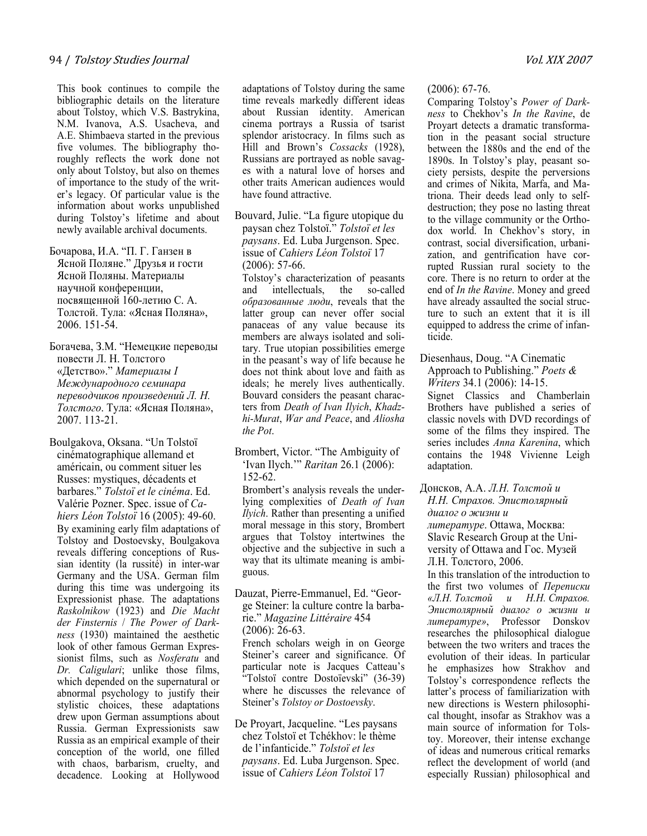This book continues to compile the bibliographic details on the literature about Tolstoy, which V.S. Bastrykina, N.M. Ivanova, A.S. Usacheva, and A.E. Shimbaeva started in the previous five volumes. The bibliography thoroughly reflects the work done not only about Tolstoy, but also on themes of importance to the study of the writer's legacy. Of particular value is the information about works unpublished during Tolstoy's lifetime and about newly available archival documents.

Бочарова, И.А. "П. Г. Ганзен в Ясной Поляне." Друзья и гости Ясной Поляны. Материалы научной конференции, посвященной 160-летию С. А. Толстой. Тула: «Ясная Поляна», 2006. 151-54.

Богачева, З.М. "Немецкие переводы повести Л. Н. Толстого «Детство»." Материалы I Международного семинара переводчиков произведений Л. Н. Толстого. Тула: «Ясная Поляна», 2007. 113-21.

Boulgakova, Oksana. "Un Tolstoï cinématographique allemand et américain, ou comment situer les Russes: mystiques, décadents et barbares." Tolstoï et le cinéma. Ed. Valérie Pozner. Spec. issue of Cahiers Léon Tolstoï 16 (2005): 49-60. By examining early film adaptations of Tolstoy and Dostoevsky, Boulgakova reveals differing conceptions of Russian identity (la russité) in inter-war Germany and the USA. German film during this time was undergoing its Expressionist phase. The adaptations Raskolnikow (1923) and Die Macht der Finsternis / The Power of Darkness (1930) maintained the aesthetic look of other famous German Expressionist films, such as *Nosferatu* and Dr. Caligulari; unlike those films, which depended on the supernatural or abnormal psychology to justify their stylistic choices, these adaptations drew upon German assumptions about Russia. German Expressionists saw Russia as an empirical example of their conception of the world, one filled with chaos, barbarism, cruelty, and decadence. Looking at Hollywood

adaptations of Tolstoy during the same time reveals markedly different ideas about Russian identity. American cinema portrays a Russia of tsarist splendor aristocracy. In films such as Hill and Brown's Cossacks (1928), Russians are portrayed as noble savages with a natural love of horses and other traits American audiences would have found attractive.

Bouvard, Julie. "La figure utopique du paysan chez Tolstoï." Tolstoï et les paysans. Ed. Luba Jurgenson. Spec. issue of Cahiers Léon Tolstoï 17 (2006): 57-66.

Tolstoy's characterization of peasants and intellectuals, the so-called образованные люди, reveals that the latter group can never offer social panaceas of any value because its members are always isolated and solitary. True utopian possibilities emerge in the peasant's way of life because he does not think about love and faith as ideals; he merely lives authentically. Bouvard considers the peasant characters from Death of Ivan Ilyich, Khadzhi-Murat, War and Peace, and Aliosha the Pot.

Brombert, Victor. "The Ambiguity of 'Ivan Ilych.'" Raritan 26.1 (2006): 152-62.

Brombert's analysis reveals the underlying complexities of Death of Ivan Ilyich. Rather than presenting a unified moral message in this story, Brombert argues that Tolstoy intertwines the objective and the subjective in such a way that its ultimate meaning is ambiguous.

Dauzat, Pierre-Emmanuel, Ed. "George Steiner: la culture contre la barbarie." Magazine Littéraire 454 (2006): 26-63.

French scholars weigh in on George Steiner's career and significance. Of particular note is Jacques Catteau's "Tolstoï contre Dostoïevski" (36-39) where he discusses the relevance of Steiner's Tolstoy or Dostoevsky.

De Proyart, Jacqueline. "Les paysans chez Tolstoï et Tchékhov: le thème de l'infanticide." Tolstoï et les paysans. Ed. Luba Jurgenson. Spec. issue of Cahiers Léon Tolstoï 17

#### (2006): 67-76.

Comparing Tolstoy's Power of Darkness to Chekhov's In the Ravine, de Proyart detects a dramatic transformation in the peasant social structure between the 1880s and the end of the 1890s. In Tolstoy's play, peasant society persists, despite the perversions and crimes of Nikita, Marfa, and Matriona. Their deeds lead only to selfdestruction; they pose no lasting threat to the village community or the Orthodox world. In Chekhov's story, in contrast, social diversification, urbanization, and gentrification have corrupted Russian rural society to the core. There is no return to order at the end of In the Ravine. Money and greed have already assaulted the social structure to such an extent that it is ill equipped to address the crime of infanticide.

Diesenhaus, Doug. "A Cinematic Approach to Publishing." Poets  $\&$ Writers 34.1 (2006): 14-15.

Signet Classics and Chamberlain Brothers have published a series of classic novels with DVD recordings of some of the films they inspired. The series includes Anna Karenina, which contains the 1948 Vivienne Leigh adaptation.

Донсков, А.А. Л.Н. Толстой и Н.Н. Страхов. Эпистолярный диалог о жизни и

литературе. Ottawa, Москва: Slavic Research Group at the University of Ottawa and Гос. Музей Л.Н. Толстого, 2006.

In this translation of the introduction to the first two volumes of Переписки «Л.Н. Толстой и Н.Н. Страхов. Эпистолярный диалог о жизни и литературе», Professor Donskov researches the philosophical dialogue between the two writers and traces the evolution of their ideas. In particular he emphasizes how Strakhov and Tolstoy's correspondence reflects the latter's process of familiarization with new directions is Western philosophical thought, insofar as Strakhov was a main source of information for Tolstoy. Moreover, their intense exchange of ideas and numerous critical remarks reflect the development of world (and especially Russian) philosophical and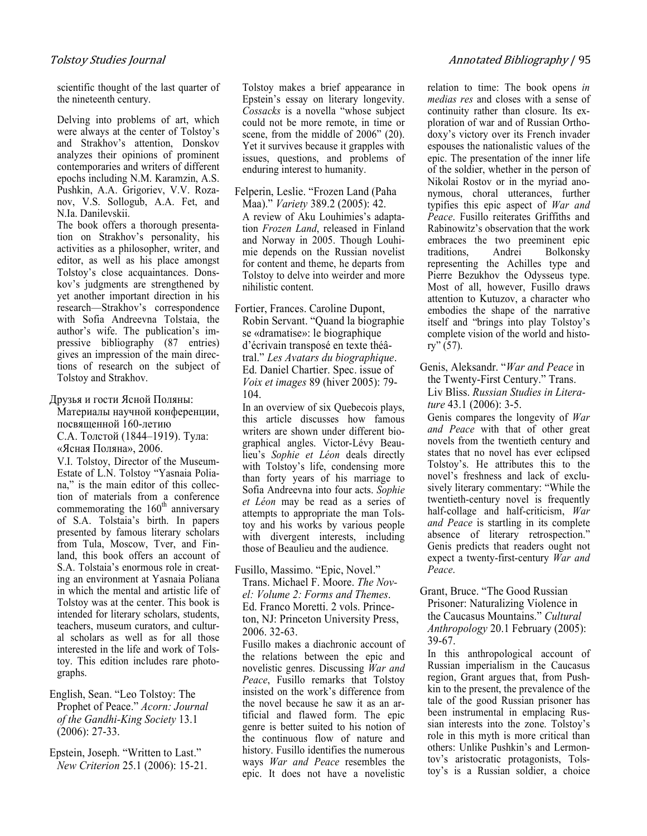scientific thought of the last quarter of the nineteenth century.

Delving into problems of art, which were always at the center of Tolstoy's and Strakhov's attention, Donskov analyzes their opinions of prominent contemporaries and writers of different epochs including N.M. Karamzin, A.S. Pushkin, A.A. Grigoriev, V.V. Rozanov, V.S. Sollogub, A.A. Fet, and N.Ia. Danilevskii.

The book offers a thorough presentation on Strakhov's personality, his activities as a philosopher, writer, and editor, as well as his place amongst Tolstoy's close acquaintances. Donskov's judgments are strengthened by yet another important direction in his research—Strakhov's correspondence with Sofia Andreevna Tolstaia, the author's wife. The publication's impressive bibliography (87 entries) gives an impression of the main directions of research on the subject of Tolstoy and Strakhov.

Друзья и гости Ясной Поляны:

Материалы научной конференции, посвященной 160-летию С.А. Толстой (1844–1919). Тула: «Ясная Поляна», 2006.

V.I. Tolstoy, Director of the Museum-Estate of L.N. Tolstoy "Yasnaia Poliana," is the main editor of this collection of materials from a conference commemorating the  $160<sup>th</sup>$  anniversary of S.A. Tolstaia's birth. In papers presented by famous literary scholars from Tula, Moscow, Tver, and Finland, this book offers an account of S.A. Tolstaia's enormous role in creating an environment at Yasnaia Poliana in which the mental and artistic life of Tolstoy was at the center. This book is intended for literary scholars, students, teachers, museum curators, and cultural scholars as well as for all those interested in the life and work of Tolstoy. This edition includes rare photographs.

English, Sean. "Leo Tolstoy: The Prophet of Peace." Acorn: Journal of the Gandhi-King Society 13.1 (2006): 27-33.

Epstein, Joseph. "Written to Last." Yew Criterion 25.1 (2006): 15-21. Tolstoy makes a brief appearance in Epstein's essay on literary longevity. Cossacks is a novella "whose subject could not be more remote, in time or scene, from the middle of 2006" (20). Yet it survives because it grapples with issues, questions, and problems of enduring interest to humanity.

Felperin, Leslie. "Frozen Land (Paha Maa)." Variety 389.2 (2005): 42. A review of Aku Louhimies's adaptation Frozen Land, released in Finland and Norway in 2005. Though Louhimie depends on the Russian novelist for content and theme, he departs from Tolstoy to delve into weirder and more nihilistic content.

Fortier, Frances. Caroline Dupont, Robin Servant. "Quand la biographie se «dramatise»: le biographique d'écrivain transposé en texte théâtral." Les Avatars du biographique. Ed. Daniel Chartier. Spec. issue of Voix et images 89 (hiver 2005): 79- 104.

In an overview of six Quebecois plays, this article discusses how famous writers are shown under different biographical angles. Victor-Lévy Beaulieu's Sophie et Léon deals directly with Tolstoy's life, condensing more than forty years of his marriage to Sofia Andreevna into four acts. Sophie et Léon may be read as a series of attempts to appropriate the man Tolstoy and his works by various people with divergent interests, including those of Beaulieu and the audience.

Fusillo, Massimo. "Epic, Novel." Trans. Michael F. Moore. The Yovel: Volume 2: Forms and Themes. Ed. Franco Moretti. 2 vols. Princeton, NJ: Princeton University Press, 2006. 32-63.

Fusillo makes a diachronic account of the relations between the epic and novelistic genres. Discussing War and Peace, Fusillo remarks that Tolstoy insisted on the work's difference from the novel because he saw it as an artificial and flawed form. The epic genre is better suited to his notion of the continuous flow of nature and history. Fusillo identifies the numerous ways War and Peace resembles the epic. It does not have a novelistic relation to time: The book opens in medias res and closes with a sense of continuity rather than closure. Its exploration of war and of Russian Orthodoxy's victory over its French invader espouses the nationalistic values of the epic. The presentation of the inner life of the soldier, whether in the person of Nikolai Rostov or in the myriad anonymous, choral utterances, further typifies this epic aspect of War and Peace. Fusillo reiterates Griffiths and Rabinowitz's observation that the work embraces the two preeminent epic traditions, Andrei Bolkonsky representing the Achilles type and Pierre Bezukhov the Odysseus type. Most of all, however, Fusillo draws attention to Kutuzov, a character who embodies the shape of the narrative itself and "brings into play Tolstoy's complete vision of the world and histo $rv''(57)$ .

Genis, Aleksandr. "War and Peace in the Twenty-First Century." Trans. Liv Bliss. Russian Studies in Literature 43.1 (2006): 3-5.

Genis compares the longevity of War and Peace with that of other great novels from the twentieth century and states that no novel has ever eclipsed Tolstoy's. He attributes this to the novel's freshness and lack of exclusively literary commentary: "While the twentieth-century novel is frequently half-collage and half-criticism, War and Peace is startling in its complete absence of literary retrospection." Genis predicts that readers ought not expect a twenty-first-century War and Peace.

Grant, Bruce. "The Good Russian Prisoner: Naturalizing Violence in the Caucasus Mountains." Cultural Anthropology 20.1 February (2005): 39-67.

In this anthropological account of Russian imperialism in the Caucasus region, Grant argues that, from Pushkin to the present, the prevalence of the tale of the good Russian prisoner has been instrumental in emplacing Russian interests into the zone. Tolstoy's role in this myth is more critical than others: Unlike Pushkin's and Lermontov's aristocratic protagonists, Tolstoy's is a Russian soldier, a choice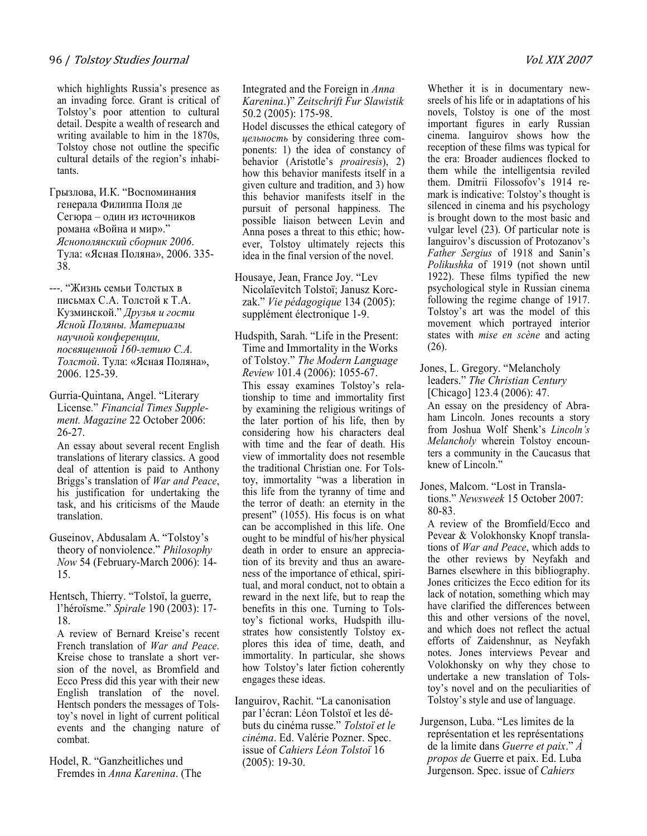which highlights Russia's presence as an invading force. Grant is critical of Tolstoy's poor attention to cultural detail. Despite a wealth of research and writing available to him in the 1870s, Tolstoy chose not outline the specific cultural details of the region's inhabitants.

Грызлова, И.К. "Воспоминания генерала Филиппа Поля де Сегюра – один из источников романа «Война и мир»." Яснополянский сборник 2006. Тула: «Ясная Поляна», 2006. 335- 38.

---. "Жизнь семьи Толстых в письмах С.А. Толстой к Т.А. Кузминской." Друзья и гости Ясной Поляны. Материалы научной конференции, посвященной 160-летию С.А. Толстой. Тула: «Ясная Поляна», 2006. 125-39.

Gurria-Quintana, Angel. "Literary License." Financial Times Supplement. Magazine 22 October 2006: 26-27.

An essay about several recent English translations of literary classics. A good deal of attention is paid to Anthony Briggs's translation of War and Peace, his justification for undertaking the task, and his criticisms of the Maude translation.

- Guseinov, Abdusalam A. "Tolstoy's theory of nonviolence." Philosophy Yow 54 (February-March 2006): 14- 15.
- Hentsch, Thierry. "Tolstoï, la guerre, l'héroïsme." Spirale 190 (2003): 17- 18.

A review of Bernard Kreise's recent French translation of War and Peace. Kreise chose to translate a short version of the novel, as Bromfield and Ecco Press did this year with their new English translation of the novel. Hentsch ponders the messages of Tolstoy's novel in light of current political events and the changing nature of combat.

Hodel, R. "Ganzheitliches und Fremdes in Anna Karenina. (The

#### Integrated and the Foreign in Anna Karenina.)" Zeitschrift Fur Slawistik 50.2 (2005): 175-98.

Hodel discusses the ethical category of цельность by considering three components: 1) the idea of constancy of behavior (Aristotle's *proairesis*), 2) how this behavior manifests itself in a given culture and tradition, and 3) how this behavior manifests itself in the pursuit of personal happiness. The possible liaison between Levin and Anna poses a threat to this ethic; however, Tolstoy ultimately rejects this idea in the final version of the novel.

- Housaye, Jean, France Joy. "Lev Nicolaïevitch Tolstoï; Janusz Korczak." Vie pédagogique 134 (2005): supplément électronique 1-9.
- Hudspith, Sarah. "Life in the Present: Time and Immortality in the Works of Tolstoy." The Modern Language Review 101.4 (2006): 1055-67. This essay examines Tolstoy's relationship to time and immortality first by examining the religious writings of the later portion of his life, then by considering how his characters deal with time and the fear of death. His view of immortality does not resemble the traditional Christian one. For Tolstoy, immortality "was a liberation in this life from the tyranny of time and the terror of death: an eternity in the present" (1055). His focus is on what can be accomplished in this life. One ought to be mindful of his/her physical death in order to ensure an appreciation of its brevity and thus an awareness of the importance of ethical, spiritual, and moral conduct, not to obtain a reward in the next life, but to reap the benefits in this one. Turning to Tolstoy's fictional works, Hudspith illustrates how consistently Tolstoy explores this idea of time, death, and immortality. In particular, she shows how Tolstoy's later fiction coherently engages these ideas.
- Ianguirov, Rachit. "La canonisation par l'écran: Léon Tolstoï et les débuts du cinéma russe." Tolstoï et le cinéma. Ed. Valérie Pozner. Spec. issue of Cahiers Léon Tolstoï 16 (2005): 19-30.

Whether it is in documentary newsreels of his life or in adaptations of his novels, Tolstoy is one of the most important figures in early Russian cinema. Ianguirov shows how the reception of these films was typical for the era: Broader audiences flocked to them while the intelligentsia reviled them. Dmitrii Filossofov's 1914 remark is indicative: Tolstoy's thought is silenced in cinema and his psychology is brought down to the most basic and vulgar level (23). Of particular note is Ianguirov's discussion of Protozanov's Father Sergius of 1918 and Sanin's Polikushka of 1919 (not shown until 1922). These films typified the new psychological style in Russian cinema following the regime change of 1917. Tolstoy's art was the model of this movement which portrayed interior states with mise en scène and acting (26).

- Jones, L. Gregory. "Melancholy leaders." The Christian Century [Chicago] 123.4 (2006): 47. An essay on the presidency of Abraham Lincoln. Jones recounts a story from Joshua Wolf Shenk's Lincoln's Melancholy wherein Tolstoy encounters a community in the Caucasus that knew of Lincoln."
- Jones, Malcom. "Lost in Translations." Yewsweek 15 October 2007: 80-83.

A review of the Bromfield/Ecco and Pevear & Volokhonsky Knopf translations of War and Peace, which adds to the other reviews by Neyfakh and Barnes elsewhere in this bibliography. Jones criticizes the Ecco edition for its lack of notation, something which may have clarified the differences between this and other versions of the novel, and which does not reflect the actual efforts of Zaidenshnur, as Neyfakh notes. Jones interviews Pevear and Volokhonsky on why they chose to undertake a new translation of Tolstoy's novel and on the peculiarities of Tolstoy's style and use of language.

Jurgenson, Luba. "Les limites de la représentation et les représentations de la limite dans Guerre et paix." À propos de Guerre et paix. Ed. Luba Jurgenson. Spec. issue of Cahiers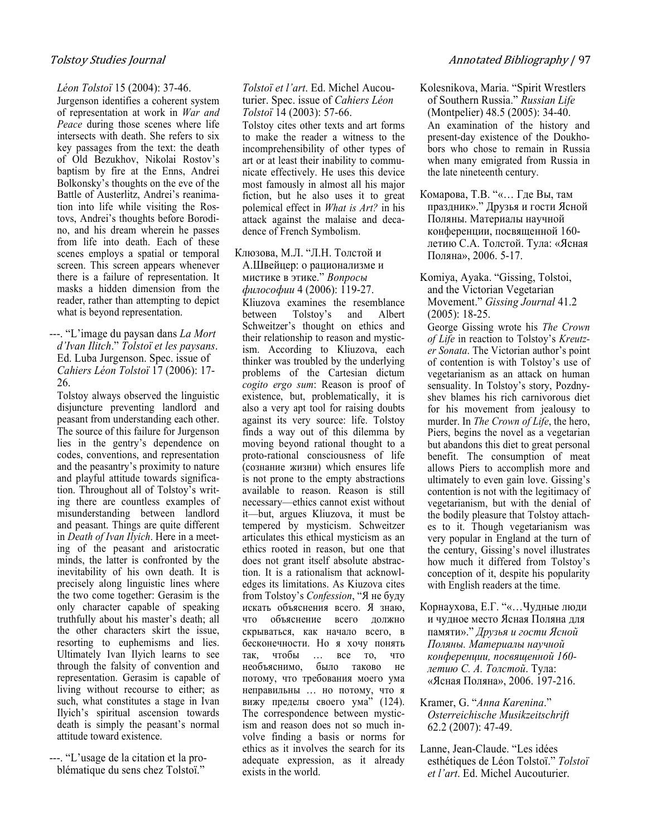#### Léon Tolstoï 15 (2004): 37-46.

Jurgenson identifies a coherent system of representation at work in War and Peace during those scenes where life intersects with death. She refers to six key passages from the text: the death of Old Bezukhov, Nikolai Rostov's baptism by fire at the Enns, Andrei Bolkonsky's thoughts on the eve of the Battle of Austerlitz, Andrei's reanimation into life while visiting the Rostovs, Andrei's thoughts before Borodino, and his dream wherein he passes from life into death. Each of these scenes employs a spatial or temporal screen. This screen appears whenever there is a failure of representation. It masks a hidden dimension from the reader, rather than attempting to depict what is beyond representation.

---. "L'image du paysan dans La Mort d'Ivan Ilitch." Tolstoï et les paysans. Ed. Luba Jurgenson. Spec. issue of Cahiers Léon Tolstoï 17 (2006): 17- 26.

Tolstoy always observed the linguistic disjuncture preventing landlord and peasant from understanding each other. The source of this failure for Jurgenson lies in the gentry's dependence on codes, conventions, and representation and the peasantry's proximity to nature and playful attitude towards signification. Throughout all of Tolstoy's writing there are countless examples of misunderstanding between landlord and peasant. Things are quite different in Death of Ivan Ilyich. Here in a meeting of the peasant and aristocratic minds, the latter is confronted by the inevitability of his own death. It is precisely along linguistic lines where the two come together: Gerasim is the only character capable of speaking truthfully about his master's death; all the other characters skirt the issue, resorting to euphemisms and lies. Ultimately Ivan Ilyich learns to see through the falsity of convention and representation. Gerasim is capable of living without recourse to either; as such, what constitutes a stage in Ivan Ilyich's spiritual ascension towards death is simply the peasant's normal attitude toward existence.

---. "L'usage de la citation et la problématique du sens chez Tolstoï."

#### Tolstoï et l'art. Ed. Michel Aucouturier. Spec. issue of Cahiers Léon Tolstoï 14 (2003): 57-66.

Tolstoy cites other texts and art forms to make the reader a witness to the incomprehensibility of other types of art or at least their inability to communicate effectively. He uses this device most famously in almost all his major fiction, but he also uses it to great polemical effect in What is Art? in his attack against the malaise and decadence of French Symbolism.

#### Клюзова, М.Л. "Л.Н. Толстой и А.Швейцер: о рационализме и мистике в этике." Вопросы философии 4 (2006): 119-27.

Kliuzova examines the resemblance between Tolstoy's and Albert Schweitzer's thought on ethics and their relationship to reason and mysticism. According to Kliuzova, each thinker was troubled by the underlying problems of the Cartesian dictum cogito ergo sum: Reason is proof of existence, but, problematically, it is also a very apt tool for raising doubts against its very source: life. Tolstoy finds a way out of this dilemma by moving beyond rational thought to a proto-rational consciousness of life (сознание жизни) which ensures life is not prone to the empty abstractions available to reason. Reason is still necessary—ethics cannot exist without it—but, argues Kliuzova, it must be tempered by mysticism. Schweitzer articulates this ethical mysticism as an ethics rooted in reason, but one that does not grant itself absolute abstraction. It is a rationalism that acknowledges its limitations. As Kiuzova cites from Tolstoy's Confession, "Я не буду искать объяснения всего. Я знаю, что объяснение всего должно скрываться, как начало всего, в бесконечности. Но я хочу понять так, чтобы … все то, что необъяснимо, было таково не потому, что требования моего ума неправильны … но потому, что я вижу пределы своего ума" (124). The correspondence between mysticism and reason does not so much involve finding a basis or norms for ethics as it involves the search for its adequate expression, as it already exists in the world.

- Kolesnikova, Maria. "Spirit Wrestlers of Southern Russia." Russian Life (Montpelier) 48.5 (2005): 34-40. An examination of the history and present-day existence of the Doukhobors who chose to remain in Russia when many emigrated from Russia in the late nineteenth century.
- Комарова, Т.В. "«… Где Вы, там праздник»." Друзья и гости Ясной Поляны. Материалы научной конференции, посвященной 160 летию С.А. Толстой. Тула: «Ясная Поляна», 2006. 5-17.
- Komiya, Ayaka. "Gissing, Tolstoi, and the Victorian Vegetarian Movement." Gissing Journal 41.2 (2005): 18-25.

George Gissing wrote his The Crown of Life in reaction to Tolstoy's Kreutzer Sonata. The Victorian author's point of contention is with Tolstoy's use of vegetarianism as an attack on human sensuality. In Tolstoy's story, Pozdnyshev blames his rich carnivorous diet for his movement from jealousy to murder. In *The Crown of Life*, the hero, Piers, begins the novel as a vegetarian but abandons this diet to great personal benefit. The consumption of meat allows Piers to accomplish more and ultimately to even gain love. Gissing's contention is not with the legitimacy of vegetarianism, but with the denial of the bodily pleasure that Tolstoy attaches to it. Though vegetarianism was very popular in England at the turn of the century, Gissing's novel illustrates how much it differed from Tolstoy's conception of it, despite his popularity with English readers at the time.

- Корнаухова, Е.Г. "«…Чудные люди и чудное место Ясная Поляна для памяти»." Друзья и гости Ясной Поляны. Материалы научной конференции, посвященной 160 летию С. А. Толстой. Тула: «Ясная Поляна», 2006. 197-216.
- Kramer, G. "Anna Karenina." Osterreichische Musikzeitschrift 62.2 (2007): 47-49.
- Lanne, Jean-Claude. "Les idées esthétiques de Léon Tolstoï." Tolstoï et l'art. Ed. Michel Aucouturier.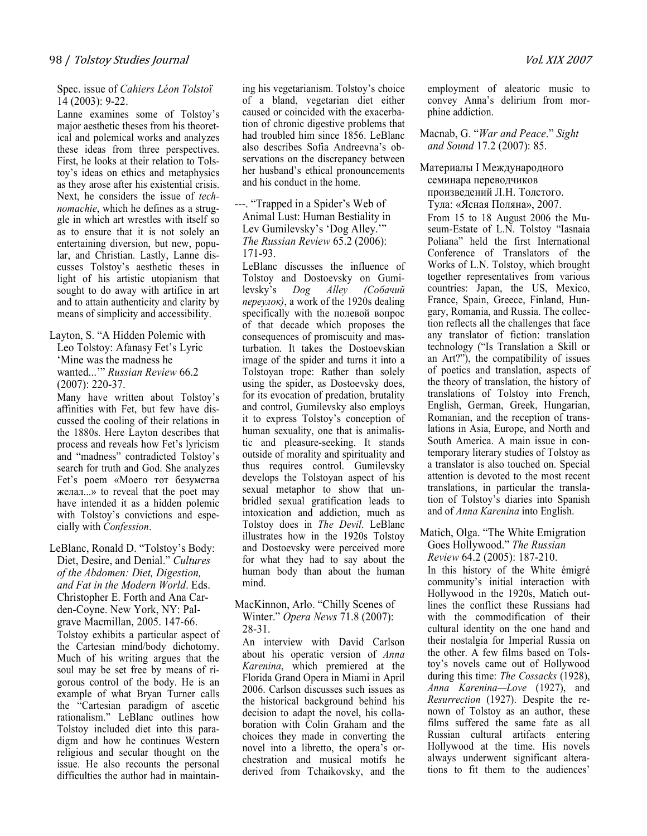#### Spec. issue of Cahiers Léon Tolstoï 14 (2003): 9-22.

Lanne examines some of Tolstoy's major aesthetic theses from his theoretical and polemical works and analyzes these ideas from three perspectives. First, he looks at their relation to Tolstoy's ideas on ethics and metaphysics as they arose after his existential crisis. Next, he considers the issue of technomachie, which he defines as a struggle in which art wrestles with itself so as to ensure that it is not solely an entertaining diversion, but new, popular, and Christian. Lastly, Lanne discusses Tolstoy's aesthetic theses in light of his artistic utopianism that sought to do away with artifice in art and to attain authenticity and clarity by means of simplicity and accessibility.

Layton, S. "A Hidden Polemic with Leo Tolstoy: Afanasy Fet's Lyric 'Mine was the madness he wanted...'" Russian Review 66.2 (2007): 220-37.

Many have written about Tolstoy's affinities with Fet, but few have discussed the cooling of their relations in the 1880s. Here Layton describes that process and reveals how Fet's lyricism and "madness" contradicted Tolstoy's search for truth and God. She analyzes Fet's poem «Моего тот безумства желал...» to reveal that the poet may have intended it as a hidden polemic with Tolstoy's convictions and especially with Confession.

LeBlanc, Ronald D. "Tolstoy's Body: Diet, Desire, and Denial." Cultures of the Abdomen: Diet, Digestion, and Fat in the Modern World. Eds. Christopher E. Forth and Ana Carden-Coyne. New York, NY: Palgrave Macmillan, 2005. 147-66.

Tolstoy exhibits a particular aspect of the Cartesian mind/body dichotomy. Much of his writing argues that the soul may be set free by means of rigorous control of the body. He is an example of what Bryan Turner calls the "Cartesian paradigm of ascetic rationalism." LeBlanc outlines how Tolstoy included diet into this paradigm and how he continues Western religious and secular thought on the issue. He also recounts the personal difficulties the author had in maintaining his vegetarianism. Tolstoy's choice of a bland, vegetarian diet either caused or coincided with the exacerbation of chronic digestive problems that had troubled him since 1856. LeBlanc also describes Sofia Andreevna's observations on the discrepancy between her husband's ethical pronouncements and his conduct in the home.

---. "Trapped in a Spider's Web of Animal Lust: Human Bestiality in Lev Gumilevsky's 'Dog Alley.'" The Russian Review 65.2 (2006): 171-93.

LeBlanc discusses the influence of Tolstoy and Dostoevsky on Gumilevsky's Dog Alley (Собачий переулок), a work of the 1920s dealing specifically with the полевой вопрос of that decade which proposes the consequences of promiscuity and masturbation. It takes the Dostoevskian image of the spider and turns it into a Tolstoyan trope: Rather than solely using the spider, as Dostoevsky does, for its evocation of predation, brutality and control, Gumilevsky also employs it to express Tolstoy's conception of human sexuality, one that is animalistic and pleasure-seeking. It stands outside of morality and spirituality and thus requires control. Gumilevsky develops the Tolstoyan aspect of his sexual metaphor to show that unbridled sexual gratification leads to intoxication and addiction, much as Tolstoy does in The Devil. LeBlanc illustrates how in the 1920s Tolstoy and Dostoevsky were perceived more for what they had to say about the human body than about the human mind.

#### MacKinnon, Arlo. "Chilly Scenes of Winter." Opera News 71.8 (2007): 28-31.

An interview with David Carlson about his operatic version of Anna Karenina, which premiered at the Florida Grand Opera in Miami in April 2006. Carlson discusses such issues as the historical background behind his decision to adapt the novel, his collaboration with Colin Graham and the choices they made in converting the novel into a libretto, the opera's orchestration and musical motifs he derived from Tchaikovsky, and the

employment of aleatoric music to convey Anna's delirium from morphine addiction.

#### Macnab, G. "War and Peace." Sight and Sound 17.2 (2007): 85.

Материалы I Международного семинара переводчиков произведений Л.Н. Толстого. Тула: «Ясная Поляна», 2007. From 15 to 18 August 2006 the Museum-Estate of L.N. Tolstoy "Iasnaia Poliana" held the first International Conference of Translators of the Works of L.N. Tolstoy, which brought together representatives from various countries: Japan, the US, Mexico, France, Spain, Greece, Finland, Hungary, Romania, and Russia. The collection reflects all the challenges that face any translator of fiction: translation technology ("Is Translation a Skill or an Art?"), the compatibility of issues of poetics and translation, aspects of the theory of translation, the history of translations of Tolstoy into French, English, German, Greek, Hungarian, Romanian, and the reception of translations in Asia, Europe, and North and South America. A main issue in contemporary literary studies of Tolstoy as a translator is also touched on. Special attention is devoted to the most recent translations, in particular the translation of Tolstoy's diaries into Spanish and of Anna Karenina into English.

Matich, Olga. "The White Emigration Goes Hollywood." The Russian Review 64.2 (2005): 187-210.

In this history of the White émigré community's initial interaction with Hollywood in the 1920s, Matich outlines the conflict these Russians had with the commodification of their cultural identity on the one hand and their nostalgia for Imperial Russia on the other. A few films based on Tolstoy's novels came out of Hollywood during this time: The Cossacks (1928), Anna Karenina—Love (1927), and Resurrection (1927). Despite the renown of Tolstoy as an author, these films suffered the same fate as all Russian cultural artifacts entering Hollywood at the time. His novels always underwent significant alterations to fit them to the audiences'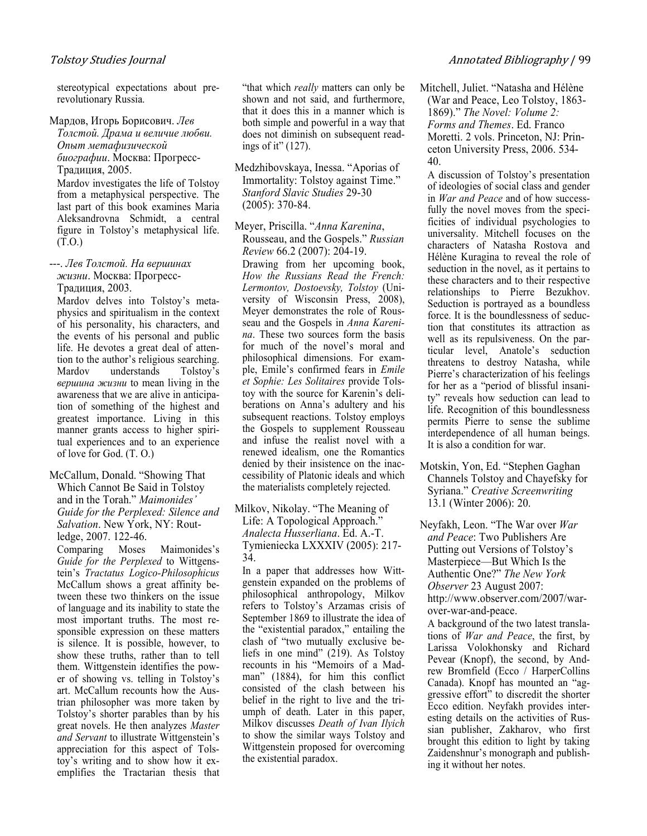stereotypical expectations about prerevolutionary Russia.

#### Мардов, Игорь Борисович. Лев Толстой. Драма и величие любви. Опыт метафизической биографии. Москва: Прогресс-

Традиция, 2005.

Mardov investigates the life of Tolstoy from a metaphysical perspective. The last part of this book examines Maria Aleksandrovna Schmidt, a central figure in Tolstoy's metaphysical life. (Т.О.)

---. Лев Толстой. На вершинах жизни. Москва: Прогресс-Традиция, 2003.

Mardov delves into Tolstoy's metaphysics and spiritualism in the context of his personality, his characters, and the events of his personal and public life. He devotes a great deal of attention to the author's religious searching. Mardov understands Tolstoy's вершина жизни to mean living in the awareness that we are alive in anticipation of something of the highest and greatest importance. Living in this manner grants access to higher spiritual experiences and to an experience of love for God. (Т. О.)

#### McCallum, Donald. "Showing That Which Cannot Be Said in Tolstoy and in the Torah." Maimonides' Guide for the Perplexed: Silence and Salvation. New York, NY: Routledge, 2007. 122-46.

Comparing Moses Maimonides's Guide for the Perplexed to Wittgenstein's Tractatus Logico-Philosophicus McCallum shows a great affinity between these two thinkers on the issue of language and its inability to state the most important truths. The most responsible expression on these matters is silence. It is possible, however, to show these truths, rather than to tell them. Wittgenstein identifies the power of showing vs. telling in Tolstoy's art. McCallum recounts how the Austrian philosopher was more taken by Tolstoy's shorter parables than by his great novels. He then analyzes Master and Servant to illustrate Wittgenstein's appreciation for this aspect of Tolstoy's writing and to show how it exemplifies the Tractarian thesis that "that which *really* matters can only be shown and not said, and furthermore, that it does this in a manner which is both simple and powerful in a way that does not diminish on subsequent readings of it" (127).

Medzhibovskaya, Inessa. "Aporias of Immortality: Tolstoy against Time." Stanford Slavic Studies 29-30 (2005): 370-84.

Meyer, Priscilla. "Anna Karenina, Rousseau, and the Gospels." Russian Review 66.2 (2007): 204-19.

Drawing from her upcoming book, How the Russians Read the French: Lermontov, Dostoevsky, Tolstoy (University of Wisconsin Press, 2008), Meyer demonstrates the role of Rousseau and the Gospels in Anna Karenina. These two sources form the basis for much of the novel's moral and philosophical dimensions. For example, Emile's confirmed fears in Emile et Sophie: Les Solitaires provide Tolstoy with the source for Karenin's deliberations on Anna's adultery and his subsequent reactions. Tolstoy employs the Gospels to supplement Rousseau and infuse the realist novel with a renewed idealism, one the Romantics denied by their insistence on the inaccessibility of Platonic ideals and which the materialists completely rejected.

Milkov, Nikolay. "The Meaning of Life: A Topological Approach." Analecta Husserliana. Ed. A.-T. Tymieniecka LXXXIV (2005): 217- 34.

In a paper that addresses how Wittgenstein expanded on the problems of philosophical anthropology, Milkov refers to Tolstoy's Arzamas crisis of September 1869 to illustrate the idea of the "existential paradox," entailing the clash of "two mutually exclusive beliefs in one mind" (219). As Tolstoy recounts in his "Memoirs of a Madman" (1884), for him this conflict consisted of the clash between his belief in the right to live and the triumph of death. Later in this paper, Milkov discusses Death of Ivan Ilyich to show the similar ways Tolstoy and Wittgenstein proposed for overcoming the existential paradox.

Mitchell, Juliet. "Natasha and Hélène (War and Peace, Leo Tolstoy, 1863- 1869)." The Yovel: Volume 2: Forms and Themes. Ed. Franco Moretti. 2 vols. Princeton, NJ: Princeton University Press, 2006. 534- 40.

A discussion of Tolstoy's presentation of ideologies of social class and gender in War and Peace and of how successfully the novel moves from the specificities of individual psychologies to universality. Mitchell focuses on the characters of Natasha Rostova and Hélène Kuragina to reveal the role of seduction in the novel, as it pertains to these characters and to their respective relationships to Pierre Bezukhov. Seduction is portrayed as a boundless force. It is the boundlessness of seduction that constitutes its attraction as well as its repulsiveness. On the particular level, Anatole's seduction threatens to destroy Natasha, while Pierre's characterization of his feelings for her as a "period of blissful insanity" reveals how seduction can lead to life. Recognition of this boundlessness permits Pierre to sense the sublime interdependence of all human beings. It is also a condition for war.

Motskin, Yon, Ed. "Stephen Gaghan Channels Tolstoy and Chayefsky for Syriana." Creative Screenwriting 13.1 (Winter 2006): 20.

Neyfakh, Leon. "The War over War and Peace: Two Publishers Are Putting out Versions of Tolstoy's Masterpiece—But Which Is the Authentic One?" The Yew York Observer 23 August 2007: http://www.observer.com/2007/warover-war-and-peace.

A background of the two latest translations of War and Peace, the first, by Larissa Volokhonsky and Richard Pevear (Knopf), the second, by Andrew Bromfield (Ecco / HarperCollins Canada). Knopf has mounted an "aggressive effort" to discredit the shorter Ecco edition. Neyfakh provides interesting details on the activities of Russian publisher, Zakharov, who first brought this edition to light by taking Zaidenshnur's monograph and publishing it without her notes.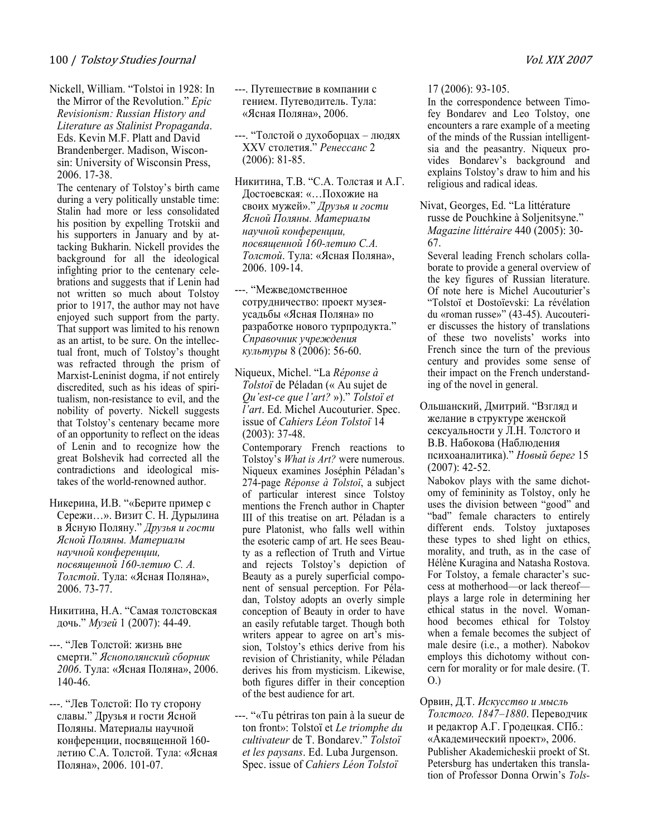Nickell, William. "Tolstoi in 1928: In the Mirror of the Revolution." Epic Revisionism: Russian History and Literature as Stalinist Propaganda. Eds. Kevin M.F. Platt and David Brandenberger. Madison, Wisconsin: University of Wisconsin Press, 2006. 17-38.

The centenary of Tolstoy's birth came during a very politically unstable time: Stalin had more or less consolidated his position by expelling Trotskii and his supporters in January and by attacking Bukharin. Nickell provides the background for all the ideological infighting prior to the centenary celebrations and suggests that if Lenin had not written so much about Tolstoy prior to 1917, the author may not have enjoyed such support from the party. That support was limited to his renown as an artist, to be sure. On the intellectual front, much of Tolstoy's thought was refracted through the prism of Marxist-Leninist dogma, if not entirely discredited, such as his ideas of spiritualism, non-resistance to evil, and the nobility of poverty. Nickell suggests that Tolstoy's centenary became more of an opportunity to reflect on the ideas of Lenin and to recognize how the great Bolshevik had corrected all the contradictions and ideological mistakes of the world-renowned author.

- Никерина, И.В. "«Берите пример с Сережи…». Визит С. Н. Дурылина в Ясную Поляну." Друзья и гости Ясной Поляны. Материалы научной конференции, посвященной 160-летию С. А. Толстой. Тула: «Ясная Поляна», 2006. 73-77.
- Никитина, Н.А. "Самая толстовская дочь." Музей 1 (2007): 44-49.
- ---. "Лев Толстой: жизнь вне смерти." Яснополянский сборник 2006. Тула: «Ясная Поляна», 2006. 140-46.
- ---. "Лев Толстой: По ту сторону славы." Друзья и гости Ясной Поляны. Материалы научной конференции, посвященной 160 летию С.А. Толстой. Тула: «Ясная Поляна», 2006. 101-07.
- ---. Путешествие в компании с гением. Путеводитель. Тула: «Ясная Поляна», 2006.
- ---. "Толстой о духоборцах людях XXV столетия." Ренессанс 2 (2006): 81-85.
- Никитина, Т.В. "С.А. Толстая и А.Г. Достоевская: «…Похожие на своих мужей»." Друзья и гости Ясной Поляны. Материалы научной конференции, посвященной 160-летию С.А. Толстой. Тула: «Ясная Поляна», 2006. 109-14.
- ---. "Межведомственное сотрудничество: проект музеяусадьбы «Ясная Поляна» по разработке нового турпродукта." Справочник учреждения культуры 8 (2006): 56-60.
- Niqueux, Michel. "La Réponse à Tolstoï de Péladan (« Au sujet de Qu'est-ce que l'art? »)." Tolstoï et l'art. Ed. Michel Aucouturier. Spec. issue of Cahiers Léon Tolstoï 14 (2003): 37-48.

Contemporary French reactions to Tolstoy's What is Art? were numerous. Niqueux examines Joséphin Péladan's 274-page Réponse à Tolstoï, a subject of particular interest since Tolstoy mentions the French author in Chapter III of this treatise on art. Péladan is a pure Platonist, who falls well within the esoteric camp of art. He sees Beauty as a reflection of Truth and Virtue and rejects Tolstoy's depiction of Beauty as a purely superficial component of sensual perception. For Péladan, Tolstoy adopts an overly simple conception of Beauty in order to have an easily refutable target. Though both writers appear to agree on art's mission, Tolstoy's ethics derive from his revision of Christianity, while Péladan derives his from mysticism. Likewise, both figures differ in their conception of the best audience for art.

---. "«Tu pétriras ton pain à la sueur de ton front»: Tolstoï et Le triomphe du cultivateur de T. Bondarev." Tolstoï et les paysans. Ed. Luba Jurgenson. Spec. issue of Cahiers Léon Tolstoï

17 (2006): 93-105.

In the correspondence between Timofey Bondarev and Leo Tolstoy, one encounters a rare example of a meeting of the minds of the Russian intelligentsia and the peasantry. Niqueux provides Bondarev's background and explains Tolstoy's draw to him and his religious and radical ideas.

Nivat, Georges, Ed. "La littérature russe de Pouchkine à Soljenitsyne." Magazine littéraire 440 (2005): 30- 67.

Several leading French scholars collaborate to provide a general overview of the key figures of Russian literature. Of note here is Michel Aucouturier's "Tolstoï et Dostoïevski: La révélation du «roman russe»" (43-45). Aucouterier discusses the history of translations of these two novelists' works into French since the turn of the previous century and provides some sense of their impact on the French understanding of the novel in general.

Ольшанский, Дмитрий. "Взгляд и желание в структуре женской сексуальности у Л.Н. Толстого и В.В. Набокова (Наблюдения психоаналитика)." Новый берег 15 (2007): 42-52.

Nabokov plays with the same dichotomy of femininity as Tolstoy, only he uses the division between "good" and "bad" female characters to entirely different ends. Tolstoy juxtaposes these types to shed light on ethics, morality, and truth, as in the case of Hélène Kuragina and Natasha Rostova. For Tolstoy, a female character's success at motherhood—or lack thereof plays a large role in determining her ethical status in the novel. Womanhood becomes ethical for Tolstoy when a female becomes the subject of male desire (i.e., a mother). Nabokov employs this dichotomy without concern for morality or for male desire. (Т. О.)

Орвин, Д.Т. Искусство и мысль Толстого. 1847–1880. Переводчик и редактор А.Г. Гродецкая. СПб.: «Академический проект», 2006. Publisher Akademicheskii proekt of St. Petersburg has undertaken this translation of Professor Donna Orwin's Tols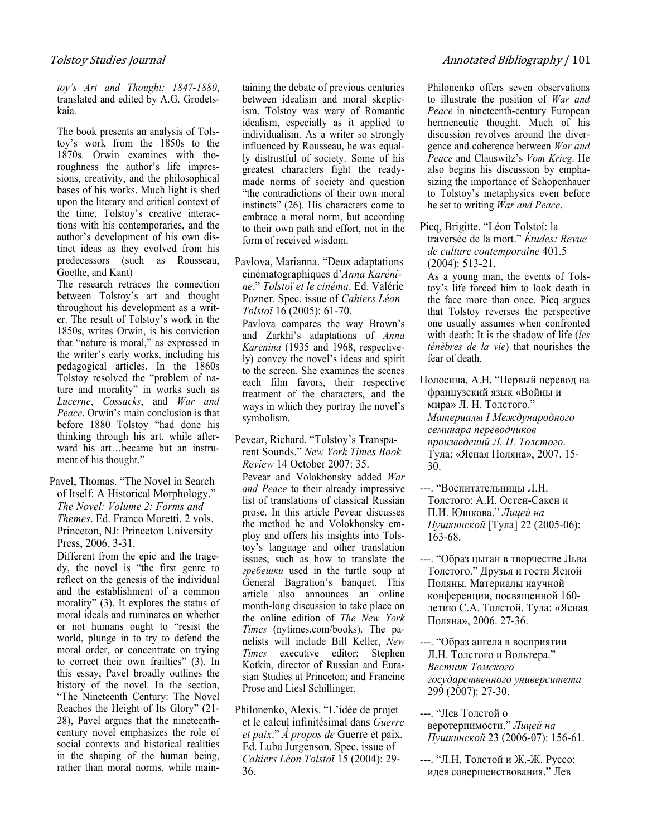toy's Art and Thought: 1847-1880, translated and edited by A.G. Grodetskaia.

The book presents an analysis of Tolstoy's work from the 1850s to the 1870s. Orwin examines with thoroughness the author's life impressions, creativity, and the philosophical bases of his works. Much light is shed upon the literary and critical context of the time, Tolstoy's creative interactions with his contemporaries, and the author's development of his own distinct ideas as they evolved from his predecessors (such as Rousseau, Goethe, and Kant)

The research retraces the connection between Tolstoy's art and thought throughout his development as a writer. The result of Tolstoy's work in the 1850s, writes Orwin, is his conviction that "nature is moral," as expressed in the writer's early works, including his pedagogical articles. In the 1860s Tolstoy resolved the "problem of nature and morality" in works such as Lucerne, Cossacks, and War and Peace. Orwin's main conclusion is that before 1880 Tolstoy "had done his thinking through his art, while afterward his art…became but an instrument of his thought."

Pavel, Thomas. "The Novel in Search of Itself: A Historical Morphology." The Yovel: Volume 2: Forms and Themes. Ed. Franco Moretti. 2 vols. Princeton, NJ: Princeton University Press, 2006. 3-31.

Different from the epic and the tragedy, the novel is "the first genre to reflect on the genesis of the individual and the establishment of a common morality" (3). It explores the status of moral ideals and ruminates on whether or not humans ought to "resist the world, plunge in to try to defend the moral order, or concentrate on trying to correct their own frailties" (3). In this essay, Pavel broadly outlines the history of the novel. In the section, "The Nineteenth Century: The Novel Reaches the Height of Its Glory" (21- 28), Pavel argues that the nineteenthcentury novel emphasizes the role of social contexts and historical realities in the shaping of the human being, rather than moral norms, while maintaining the debate of previous centuries between idealism and moral skepticism. Tolstoy was wary of Romantic idealism, especially as it applied to individualism. As a writer so strongly influenced by Rousseau, he was equally distrustful of society. Some of his greatest characters fight the readymade norms of society and question "the contradictions of their own moral instincts" (26). His characters come to embrace a moral norm, but according to their own path and effort, not in the form of received wisdom.

Pavlova, Marianna. "Deux adaptations cinématographiques d'Anna Karénine." Tolstoï et le cinéma. Ed. Valérie Pozner. Spec. issue of Cahiers Léon Tolstoï 16 (2005): 61-70.

Pavlova compares the way Brown's and Zarkhi's adaptations of Anna Karenina (1935 and 1968, respectively) convey the novel's ideas and spirit to the screen. She examines the scenes each film favors, their respective treatment of the characters, and the ways in which they portray the novel's symbolism.

Pevear, Richard. "Tolstoy's Transparent Sounds." Yew York Times Book Review 14 October 2007: 35.

Pevear and Volokhonsky added War and Peace to their already impressive list of translations of classical Russian prose. In this article Pevear discusses the method he and Volokhonsky employ and offers his insights into Tolstoy's language and other translation issues, such as how to translate the гребешки used in the turtle soup at General Bagration's banquet. This article also announces an online month-long discussion to take place on the online edition of The New York Times (nytimes.com/books). The panelists will include Bill Keller, Yew Times executive editor; Stephen Kotkin, director of Russian and Eurasian Studies at Princeton; and Francine Prose and Liesl Schillinger.

Philonenko, Alexis. "L'idée de projet et le calcul infinitésimal dans Guerre et paix." À propos de Guerre et paix. Ed. Luba Jurgenson. Spec. issue of Cahiers Léon Tolstoï 15 (2004): 29- 36.

Philonenko offers seven observations to illustrate the position of War and Peace in nineteenth-century European hermeneutic thought. Much of his discussion revolves around the divergence and coherence between War and Peace and Clauswitz's Vom Krieg. He also begins his discussion by emphasizing the importance of Schopenhauer to Tolstoy's metaphysics even before he set to writing War and Peace.

Picq, Brigitte. "Léon Tolstoï: la traversée de la mort." Études: Revue de culture contemporaine 401.5 (2004): 513-21.

As a young man, the events of Tolstoy's life forced him to look death in the face more than once. Picq argues that Tolstoy reverses the perspective one usually assumes when confronted with death: It is the shadow of life (les ténèbres de la vie) that nourishes the fear of death.

Полосина, А.Н. "Первый перевод на французский язык «Войны и мира» Л. Н. Толстого." Материалы I Международного семинара переводчиков произведений Л. Н. Толстого. Тула: «Ясная Поляна», 2007. 15- 30.

- ---. "Воспитательницы Л.Н. Толстого: А.И. Остен-Сакен и П.И. Юшкова." Лицей на Пушкинской [Тула] 22 (2005-06): 163-68.
- ---. "Образ цыган в творчестве Льва Толстого." Друзья и гости Ясной Поляны. Материалы научной конференции, посвященной 160 летию С.А. Толстой. Тула: «Ясная Поляна», 2006. 27-36.
- ---. "Образ ангела в восприятии Л.Н. Толстого и Вольтера." Вестник Томского государственного университета 299 (2007): 27-30.
- ---. "Лев Толстой о веротерпимости." Лицей на Пушкинской 23 (2006-07): 156-61.
- ---. "Л.Н. Толстой и Ж.-Ж. Руссо: идея совершенствования." Лев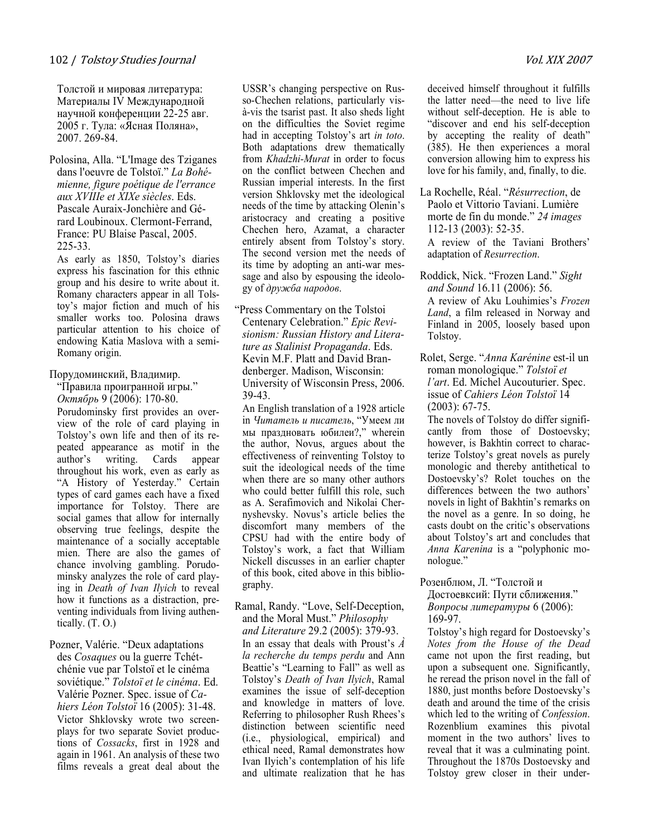#### 102 / Tolstoy Studies Journal Vol. XIX <sup>2007</sup>

Толстой и мировая литература: Материалы IV Международной научной конференции 22-25 авг. 2005 г. Тула: «Ясная Поляна», 2007. 269-84.

Polosina, Alla. "L'Image des Tziganes dans l'oeuvre de Tolstoï." La Bohémienne, figure poétique de l'errance aux XVIIIe et XIXe siècles. Eds. Pascale Auraix-Jonchière and Gérard Loubinoux. Clermont-Ferrand, France: PU Blaise Pascal, 2005. 225-33.

As early as 1850, Tolstoy's diaries express his fascination for this ethnic group and his desire to write about it. Romany characters appear in all Tolstoy's major fiction and much of his smaller works too. Polosina draws particular attention to his choice of endowing Katia Maslova with a semi-Romany origin.

#### Порудоминский, Владимир.

"Правила проигранной игры." Октябрь 9 (2006): 170-80.

Porudominsky first provides an overview of the role of card playing in Tolstoy's own life and then of its repeated appearance as motif in the author's writing. Cards appear throughout his work, even as early as "A History of Yesterday." Certain types of card games each have a fixed importance for Tolstoy. There are social games that allow for internally observing true feelings, despite the maintenance of a socially acceptable mien. There are also the games of chance involving gambling. Porudominsky analyzes the role of card playing in Death of Ivan Ilyich to reveal how it functions as a distraction, preventing individuals from living authentically. (Т. О.)

Pozner, Valérie. "Deux adaptations des Cosaques ou la guerre Tchétchénie vue par Tolstoï et le cinéma soviétique." Tolstoï et le cinéma. Ed. Valérie Pozner. Spec. issue of Cahiers Léon Tolstoï 16 (2005): 31-48. Victor Shklovsky wrote two screenplays for two separate Soviet productions of Cossacks, first in 1928 and again in 1961. An analysis of these two films reveals a great deal about the USSR's changing perspective on Russo-Chechen relations, particularly visà-vis the tsarist past. It also sheds light on the difficulties the Soviet regime had in accepting Tolstoy's art in toto. Both adaptations drew thematically from Khadzhi-Murat in order to focus on the conflict between Chechen and Russian imperial interests. In the first version Shklovsky met the ideological needs of the time by attacking Olenin's aristocracy and creating a positive Chechen hero, Azamat, a character entirely absent from Tolstoy's story. The second version met the needs of its time by adopting an anti-war message and also by espousing the ideology of дружба народов.

"Press Commentary on the Tolstoi Centenary Celebration." Epic Revisionism: Russian History and Literature as Stalinist Propaganda. Eds. Kevin M.F. Platt and David Brandenberger. Madison, Wisconsin: University of Wisconsin Press, 2006. 39-43.

An English translation of a 1928 article in Читатель и писатель, "Умеем ли мы праздновать юбилеи?," wherein the author, Novus, argues about the effectiveness of reinventing Tolstoy to suit the ideological needs of the time when there are so many other authors who could better fulfill this role, such as A. Serafimovich and Nikolai Chernyshevsky. Novus's article belies the discomfort many members of the CPSU had with the entire body of Tolstoy's work, a fact that William Nickell discusses in an earlier chapter of this book, cited above in this bibliography.

Ramal, Randy. "Love, Self-Deception, and the Moral Must." Philosophy and Literature 29.2 (2005): 379-93. In an essay that deals with Proust's  $\vec{A}$ la recherche du temps perdu and Ann Beattie's "Learning to Fall" as well as Tolstoy's Death of Ivan Ilyich, Ramal examines the issue of self-deception and knowledge in matters of love. Referring to philosopher Rush Rhees's distinction between scientific need (i.e., physiological, empirical) and ethical need, Ramal demonstrates how Ivan Ilyich's contemplation of his life and ultimate realization that he has

deceived himself throughout it fulfills the latter need—the need to live life without self-deception. He is able to "discover and end his self-deception by accepting the reality of death" (385). He then experiences a moral conversion allowing him to express his love for his family, and, finally, to die.

La Rochelle, Réal. "Résurrection, de Paolo et Vittorio Taviani. Lumière morte de fin du monde." 24 images 112-13 (2003): 52-35.

A review of the Taviani Brothers' adaptation of Resurrection.

- Roddick, Nick. "Frozen Land." Sight and Sound 16.11 (2006): 56. A review of Aku Louhimies's Frozen Land, a film released in Norway and Finland in 2005, loosely based upon Tolstoy.
- Rolet, Serge. "Anna Karénine est-il un roman monologique." Tolstoï et l'art. Ed. Michel Aucouturier. Spec. issue of Cahiers Léon Tolstoï 14 (2003): 67-75.

The novels of Tolstoy do differ significantly from those of Dostoevsky; however, is Bakhtin correct to characterize Tolstoy's great novels as purely monologic and thereby antithetical to Dostoevsky's? Rolet touches on the differences between the two authors' novels in light of Bakhtin's remarks on the novel as a genre. In so doing, he casts doubt on the critic's observations about Tolstoy's art and concludes that Anna Karenina is a "polyphonic monologue."

Розенблюм, Л. "Толстой и Достоевксий: Пути сближения." Вопросы литературы 6 (2006): 169-97.

Tolstoy's high regard for Dostoevsky's Notes from the House of the Dead came not upon the first reading, but upon a subsequent one. Significantly, he reread the prison novel in the fall of 1880, just months before Dostoevsky's death and around the time of the crisis which led to the writing of *Confession*. Rozenblium examines this pivotal moment in the two authors' lives to reveal that it was a culminating point. Throughout the 1870s Dostoevsky and Tolstoy grew closer in their under-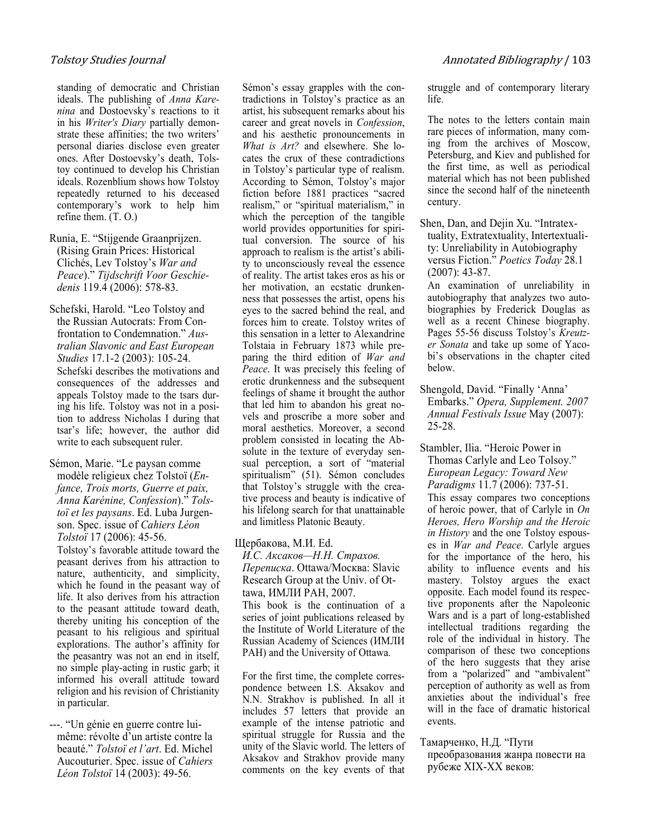standing of democratic and Christian ideals. The publishing of Anna Karenina and Dostoevsky's reactions to it in his Writer's Diary partially demonstrate these affinities; the two writers' personal diaries disclose even greater ones. After Dostoevsky's death, Tolstoy continued to develop his Christian ideals. Rozenblium shows how Tolstoy repeatedly returned to his deceased contemporary's work to help him refine them. (Т. О.)

Runia, E. "Stijgende Graanprijzen. (Rising Grain Prices: Historical Clichés, Lev Tolstoy's War and Peace)." Tijdschrift Voor Geschiedenis 119.4 (2006): 578-83.

- Schefski, Harold. "Leo Tolstoy and the Russian Autocrats: From Confrontation to Condemnation." Australian Slavonic and East European Studies 17.1-2 (2003): 105-24. Schefski describes the motivations and consequences of the addresses and appeals Tolstoy made to the tsars during his life. Tolstoy was not in a position to address Nicholas I during that tsar's life; however, the author did write to each subsequent ruler.
- Sémon, Marie. "Le paysan comme modèle religieux chez Tolstoï (Enfance, Trois morts, Guerre et paix, Anna Karénine, Confession)." Tolstoï et les paysans. Ed. Luba Jurgenson. Spec. issue of Cahiers Léon Tolstoï 17 (2006): 45-56.

Tolstoy's favorable attitude toward the peasant derives from his attraction to nature, authenticity, and simplicity, which he found in the peasant way of life. It also derives from his attraction to the peasant attitude toward death, thereby uniting his conception of the peasant to his religious and spiritual explorations. The author's affinity for the peasantry was not an end in itself, no simple play-acting in rustic garb; it informed his overall attitude toward religion and his revision of Christianity in particular.

---. "Un génie en guerre contre luimême: révolte d'un artiste contre la beauté." Tolstoï et l'art. Ed. Michel Aucouturier. Spec. issue of Cahiers Léon Tolstoï 14 (2003): 49-56.

Sémon's essay grapples with the contradictions in Tolstoy's practice as an artist, his subsequent remarks about his career and great novels in Confession, and his aesthetic pronouncements in What is Art? and elsewhere. She locates the crux of these contradictions in Tolstoy's particular type of realism. According to Sémon, Tolstoy's major fiction before 1881 practices "sacred realism," or "spiritual materialism," in which the perception of the tangible world provides opportunities for spiritual conversion. The source of his approach to realism is the artist's ability to unconsciously reveal the essence of reality. The artist takes eros as his or her motivation, an ecstatic drunkenness that possesses the artist, opens his eyes to the sacred behind the real, and forces him to create. Tolstoy writes of this sensation in a letter to Alexandrine Tolstaia in February 1873 while preparing the third edition of War and Peace. It was precisely this feeling of erotic drunkenness and the subsequent feelings of shame it brought the author that led him to abandon his great novels and proscribe a more sober and moral aesthetics. Moreover, a second problem consisted in locating the Absolute in the texture of everyday sensual perception, a sort of "material spiritualism" (51). Sémon concludes that Tolstoy's struggle with the creative process and beauty is indicative of his lifelong search for that unattainable and limitless Platonic Beauty.

#### Щербакова, М.И. Ed.

И.С. Аксаков—Н.Н. Страхов. Переписка. Ottawa/Москва: Slavic Research Group at the Univ. of Ottawa, ИМЛИ РАН, 2007.

This book is the continuation of a series of joint publications released by the Institute of World Literature of the Russian Academy of Sciences (ИМЛИ РАН) and the University of Ottawa.

For the first time, the complete correspondence between I.S. Aksakov and N.N. Strakhov is published. In all it includes 57 letters that provide an example of the intense patriotic and spiritual struggle for Russia and the unity of the Slavic world. The letters of Aksakov and Strakhov provide many comments on the key events of that struggle and of contemporary literary life.

The notes to the letters contain main rare pieces of information, many coming from the archives of Moscow, Petersburg, and Kiev and published for the first time, as well as periodical material which has not been published since the second half of the nineteenth century.

Shen, Dan, and Dejin Xu. "Intratextuality, Extratextuality, Intertextuality: Unreliability in Autobiography versus Fiction." Poetics Today 28.1 (2007): 43-87.

An examination of unreliability in autobiography that analyzes two autobiographies by Frederick Douglas as well as a recent Chinese biography. Pages 55-56 discuss Tolstoy's Kreutzer Sonata and take up some of Yacobi's observations in the chapter cited below.

Shengold, David. "Finally 'Anna' Embarks." Opera, Supplement. 2007 Annual Festivals Issue May (2007): 25-28.

Stambler, Ilia. "Heroic Power in Thomas Carlyle and Leo Tolsoy." European Legacy: Toward Yew Paradigms 11.7 (2006): 737-51. This essay compares two conceptions of heroic power, that of Carlyle in On Heroes, Hero Worship and the Heroic in History and the one Tolstoy espouses in War and Peace. Carlyle argues for the importance of the hero, his ability to influence events and his mastery. Tolstoy argues the exact opposite. Each model found its respective proponents after the Napoleonic Wars and is a part of long-established intellectual traditions regarding the role of the individual in history. The comparison of these two conceptions of the hero suggests that they arise from a "polarized" and "ambivalent" perception of authority as well as from anxieties about the individual's free will in the face of dramatic historical events.

### Тамарченко, Н.Д. "Пути

преобразования жанра повести на рубеже XIX-XX веков: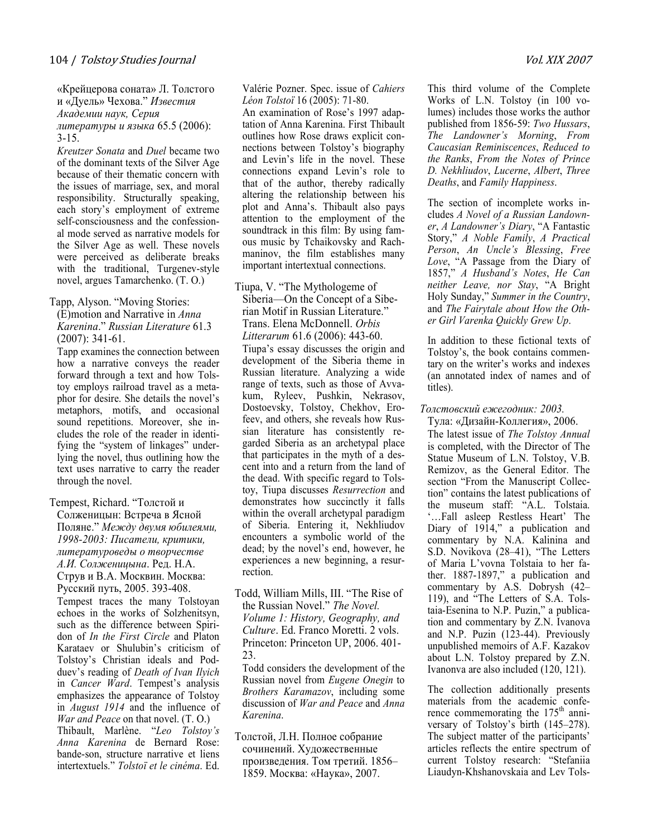«Крейцерова соната» Л. Толстого и «Дуель» Чехова." Известия Академии наук, Серия литературы и языка 65.5 (2006): 3-15.

Kreutzer Sonata and Duel became two of the dominant texts of the Silver Age because of their thematic concern with the issues of marriage, sex, and moral responsibility. Structurally speaking, each story's employment of extreme self-consciousness and the confessional mode served as narrative models for the Silver Age as well. These novels were perceived as deliberate breaks with the traditional, Turgenev-style novel, argues Tamarchenko. (Т. О.)

#### Tapp, Alyson. "Moving Stories:

 $(E)$ motion and Narrative in *Anna* Karenina." Russian Literature 61.3 (2007): 341-61.

Tapp examines the connection between how a narrative conveys the reader forward through a text and how Tolstoy employs railroad travel as a metaphor for desire. She details the novel's metaphors, motifs, and occasional sound repetitions. Moreover, she includes the role of the reader in identifying the "system of linkages" underlying the novel, thus outlining how the text uses narrative to carry the reader through the novel.

Tempest, Richard. "Толстой и Солженицын: Встреча в Ясной Поляне." Между двумя юбилеями, 1998-2003: Писатели, критики, литературоведы о творчестве А.И. Солженицына. Ред. Н.А. Струв и В.А. Москвин. Москва: Русский путь, 2005. 393-408. Tempest traces the many Tolstoyan echoes in the works of Solzhenitsyn,

such as the difference between Spiridon of In the First Circle and Platon Karataev or Shulubin's criticism of Tolstoy's Christian ideals and Podduev's reading of Death of Ivan Ilyich in Cancer Ward. Tempest's analysis emphasizes the appearance of Tolstoy in August 1914 and the influence of War and Peace on that novel. (T. O.) Thibault, Marlène. "Leo Tolstoy's Anna Karenina de Bernard Rose: bande-son, structure narrative et liens intertextuels." Tolstoï et le cinéma. Ed.

Valérie Pozner. Spec. issue of Cahiers Léon Tolstoï 16 (2005): 71-80.

An examination of Rose's 1997 adaptation of Anna Karenina. First Thibault outlines how Rose draws explicit connections between Tolstoy's biography and Levin's life in the novel. These connections expand Levin's role to that of the author, thereby radically altering the relationship between his plot and Anna's. Thibault also pays attention to the employment of the soundtrack in this film: By using famous music by Tchaikovsky and Rachmaninov, the film establishes many important intertextual connections.

Tiupa, V. "The Mythologeme of Siberia—On the Concept of a Siberian Motif in Russian Literature." Trans. Elena McDonnell. Orbis Litterarum 61.6 (2006): 443-60. Tiupa's essay discusses the origin and development of the Siberia theme in Russian literature. Analyzing a wide range of texts, such as those of Avvakum, Ryleev, Pushkin, Nekrasov, Dostoevsky, Tolstoy, Chekhov, Erofeev, and others, she reveals how Russian literature has consistently regarded Siberia as an archetypal place that participates in the myth of a descent into and a return from the land of the dead. With specific regard to Tolstoy, Tiupa discusses Resurrection and demonstrates how succinctly it falls within the overall archetypal paradigm of Siberia. Entering it, Nekhliudov encounters a symbolic world of the dead; by the novel's end, however, he experiences a new beginning, a resurrection.

Todd, William Mills, III. "The Rise of the Russian Novel." The Yovel. Volume 1: History, Geography, and Culture. Ed. Franco Moretti. 2 vols. Princeton: Princeton UP, 2006. 401- 23.

Todd considers the development of the Russian novel from Eugene Onegin to Brothers Karamazov, including some discussion of War and Peace and Anna Karenina.

Толстой, Л.Н. Полное собрание сочинений. Художественные произведения. Том третий. 1856– 1859. Москва: «Наука», 2007.

This third volume of the Complete Works of L.N. Tolstoy (in 100 volumes) includes those works the author published from 1856-59: Two Hussars, The Landowner's Morning, From Caucasian Reminiscences, Reduced to the Ranks, From the Yotes of Prince D. Yekhliudov, Lucerne, Albert, Three Deaths, and Family Happiness.

The section of incomplete works includes A Yovel of a Russian Landowner, A Landowner's Diary, "A Fantastic Story," A Yoble Family, A Practical Person, An Uncle's Blessing, Free Love, "A Passage from the Diary of 1857," A Husband's Yotes, He Can neither Leave, nor Stay, "A Bright Holy Sunday," Summer in the Country, and The Fairytale about How the Other Girl Varenka Quickly Grew Up.

In addition to these fictional texts of Tolstoy's, the book contains commentary on the writer's works and indexes (an annotated index of names and of titles).

#### Толстовский ежегодник: 2003.

Тула: «Дизайн-Коллегия», 2006. The latest issue of The Tolstoy Annual is completed, with the Director of The Statue Museum of L.N. Tolstoy, V.B. Remizov, as the General Editor. The section "From the Manuscript Collection" contains the latest publications of the museum staff: "A.L. Tolstaia. '…Fall asleep Restless Heart' The Diary of 1914," a publication and commentary by N.A. Kalinina and S.D. Novikova (28–41), "The Letters of Maria L'vovna Tolstaia to her father. 1887-1897," a publication and commentary by A.S. Dobrysh (42– 119), and "The Letters of S.A. Tolstaia-Esenina to N.P. Puzin," a publication and commentary by Z.N. Ivanova and N.P. Puzin (123-44). Previously unpublished memoirs of A.F. Kazakov about L.N. Tolstoy prepared by Z.N. Ivanonva are also included (120, 121).

The collection additionally presents materials from the academic conference commemorating the  $175<sup>th</sup>$  anniversary of Tolstoy's birth (145–278). The subject matter of the participants' articles reflects the entire spectrum of current Tolstoy research: "Stefaniia Liaudyn-Khshanovskaia and Lev Tols-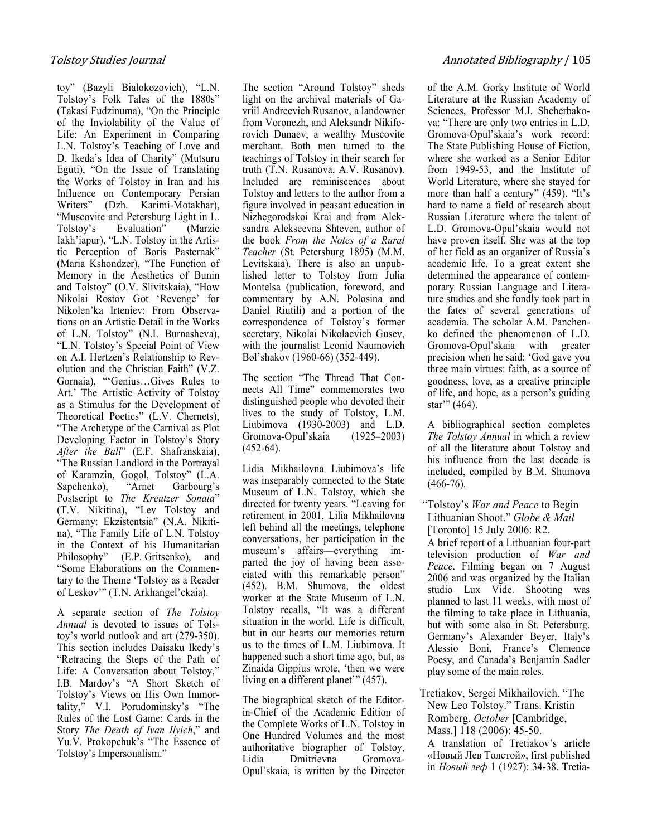toy" (Bazyli Bialokozovich), "L.N. Tolstoy's Folk Tales of the 1880s" (Takasi Fudzinuma), "On the Principle of the Inviolability of the Value of Life: An Experiment in Comparing L.N. Tolstoy's Teaching of Love and D. Ikeda's Idea of Charity" (Mutsuru Eguti), "On the Issue of Translating the Works of Tolstoy in Iran and his Influence on Contemporary Persian Writers" (Dzh. Karimi-Motakhar), "Muscovite and Petersburg Light in L. Tolstoy's Evaluation" (Marzie Iakh'iapur), "L.N. Tolstoy in the Artistic Perception of Boris Pasternak" (Maria Kshondzer), "The Function of Memory in the Aesthetics of Bunin and Tolstoy" (O.V. Slivitskaia), "How Nikolai Rostov Got 'Revenge' for Nikolen'ka Irteniev: From Observations on an Artistic Detail in the Works of L.N. Tolstoy" (N.I. Burnasheva), "L.N. Tolstoy's Special Point of View on A.I. Hertzen's Relationship to Revolution and the Christian Faith" (V.Z. Gornaia), "'Genius…Gives Rules to Art.' The Artistic Activity of Tolstoy as a Stimulus for the Development of Theoretical Poetics" (L.V. Chernets), "The Archetype of the Carnival as Plot Developing Factor in Tolstoy's Story After the Ball" (E.F. Shafranskaia), "The Russian Landlord in the Portrayal of Karamzin, Gogol, Tolstoy" (L.A.<br>Sapchenko), "Arnet Garbourg's Sapchenko), "Arnet Garbourg's Postscript to The Kreutzer Sonata" (T.V. Nikitina), "Lev Tolstoy and Germany: Ekzistentsia" (N.A. Nikitina), "The Family Life of L.N. Tolstoy in the Context of his Humanitarian Philosophy" (Е.P. Gritsenko), and "Some Elaborations on the Commentary to the Theme 'Tolstoy as a Reader of Leskov'" (T.N. Arkhangel'ckaia).

A separate section of The Tolstoy Annual is devoted to issues of Tolstoy's world outlook and art (279-350). This section includes Daisaku Ikedy's "Retracing the Steps of the Path of Life: A Conversation about Tolstoy," I.B. Mardov's "A Short Sketch of Tolstoy's Views on His Own Immortality," V.I. Porudominsky's "The Rules of the Lost Game: Cards in the Story The Death of Ivan Ilyich," and Yu.V. Prokopchuk's "The Essence of Tolstoy's Impersonalism."

The section "Around Tolstoy" sheds light on the archival materials of Gavriil Andreevich Rusanov, a landowner from Voronezh, and Aleksandr Nikiforovich Dunaev, a wealthy Muscovite merchant. Both men turned to the teachings of Tolstoy in their search for truth (T.N. Rusanova, A.V. Rusanov). Included are reminiscences about Tolstoy and letters to the author from a figure involved in peasant education in Nizhegorodskoi Krai and from Aleksandra Alekseevna Shteven, author of the book From the Yotes of a Rural Teacher (St. Petersburg 1895) (M.M. Levitskaia). There is also an unpublished letter to Tolstoy from Julia Montelsa (publication, foreword, and commentary by A.N. Polosina and Daniel Riutili) and a portion of the correspondence of Tolstoy's former secretary, Nikolai Nikolaevich Gusev, with the journalist Leonid Naumovich Bol'shakov (1960-66) (352-449).

The section "The Thread That Connects All Time" commemorates two distinguished people who devoted their lives to the study of Tolstoy, L.M. Liubimova (1930-2003) and L.D. Gromova-Opul'skaia (1925–2003)  $(452-64)$ .

Lidia Mikhailovna Liubimova's life was inseparably connected to the State Museum of L.N. Tolstoy, which she directed for twenty years. "Leaving for retirement in 2001, Lilia Mikhailovna left behind all the meetings, telephone conversations, her participation in the museum's affairs—everything imparted the joy of having been associated with this remarkable person" (452). B.M. Shumova, the oldest worker at the State Museum of L.N. Tolstoy recalls, "It was a different situation in the world. Life is difficult, but in our hearts our memories return us to the times of L.M. Liubimova. It happened such a short time ago, but, as Zinaida Gippius wrote, 'then we were living on a different planet'" (457).

The biographical sketch of the Editorin-Chief of the Academic Edition of the Complete Works of L.N. Tolstoy in One Hundred Volumes and the most authoritative biographer of Tolstoy, Lidia Dmitrievna Gromova-Opul'skaia, is written by the Director of the A.M. Gorky Institute of World Literature at the Russian Academy of Sciences, Professor M.I. Shcherbakova: "There are only two entries in L.D. Gromova-Opul'skaia's work record: The State Publishing House of Fiction, where she worked as a Senior Editor from 1949-53, and the Institute of World Literature, where she stayed for more than half a century" (459). "It's hard to name a field of research about Russian Literature where the talent of L.D. Gromova-Opul'skaia would not have proven itself. She was at the top of her field as an organizer of Russia's academic life. To a great extent she determined the appearance of contemporary Russian Language and Literature studies and she fondly took part in the fates of several generations of academia. The scholar A.M. Panchenko defined the phenomenon of L.D. Gromova-Opul'skaia with greater precision when he said: 'God gave you three main virtues: faith, as a source of goodness, love, as a creative principle of life, and hope, as a person's guiding star'" (464).

A bibliographical section completes The Tolstoy Annual in which a review of all the literature about Tolstoy and his influence from the last decade is included, compiled by B.M. Shumova  $(466 - 76)$ .

"Tolstoy's War and Peace to Begin Lithuanian Shoot." Globe & Mail [Toronto] 15 July 2006: R2.

A brief report of a Lithuanian four-part television production of War and Peace. Filming began on 7 August 2006 and was organized by the Italian studio Lux Vide. Shooting was planned to last 11 weeks, with most of the filming to take place in Lithuania, but with some also in St. Petersburg. Germany's Alexander Beyer, Italy's Alessio Boni, France's Clemence Poesy, and Canada's Benjamin Sadler play some of the main roles.

Tretiakov, Sergei Mikhailovich. "The New Leo Tolstoy." Trans. Kristin Romberg. October [Cambridge, Mass.] 118 (2006): 45-50. A translation of Tretiakov's article

«Новый Лев Толстой», first published in Новый леф 1 (1927): 34-38. Tretia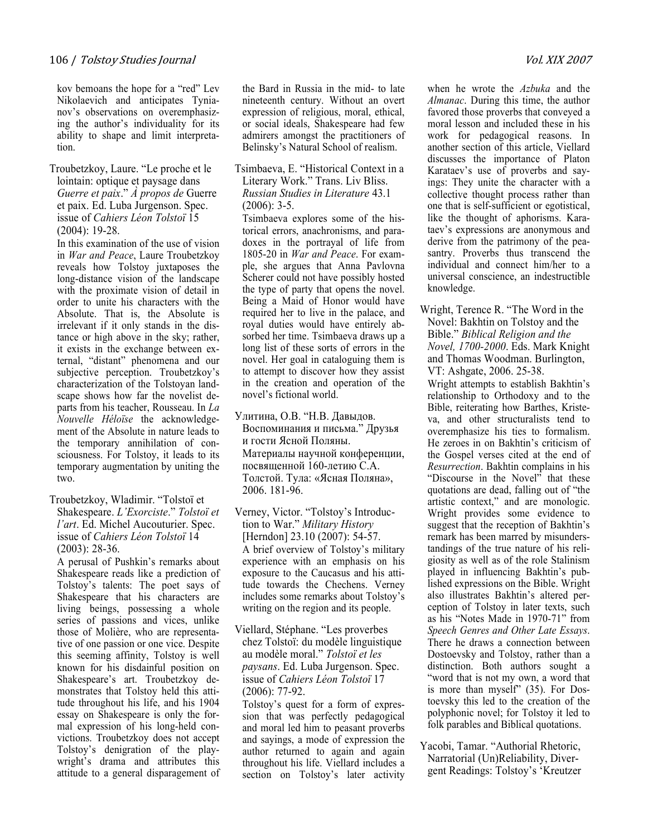kov bemoans the hope for a "red" Lev Nikolaevich and anticipates Tynianov's observations on overemphasizing the author's individuality for its ability to shape and limit interpretation.

Troubetzkoy, Laure. "Le proche et le lointain: optique et paysage dans Guerre et paix." À propos de Guerre et paix. Ed. Luba Jurgenson. Spec. issue of Cahiers Léon Tolstoï 15 (2004): 19-28.

In this examination of the use of vision in War and Peace, Laure Troubetzkoy reveals how Tolstoy juxtaposes the long-distance vision of the landscape with the proximate vision of detail in order to unite his characters with the Absolute. That is, the Absolute is irrelevant if it only stands in the distance or high above in the sky; rather, it exists in the exchange between external, "distant" phenomena and our subjective perception. Troubetzkoy's characterization of the Tolstoyan landscape shows how far the novelist departs from his teacher, Rousseau. In La Youvelle Héloïse the acknowledgement of the Absolute in nature leads to the temporary annihilation of consciousness. For Tolstoy, it leads to its temporary augmentation by uniting the two.

Troubetzkoy, Wladimir. "Tolstoï et Shakespeare. L'Exorciste." Tolstoï et l'art. Ed. Michel Aucouturier. Spec. issue of Cahiers Léon Tolstoï 14 (2003): 28-36.

A perusal of Pushkin's remarks about Shakespeare reads like a prediction of Tolstoy's talents: The poet says of Shakespeare that his characters are living beings, possessing a whole series of passions and vices, unlike those of Molière, who are representative of one passion or one vice. Despite this seeming affinity, Tolstoy is well known for his disdainful position on Shakespeare's art. Troubetzkoy demonstrates that Tolstoy held this attitude throughout his life, and his 1904 essay on Shakespeare is only the formal expression of his long-held convictions. Troubetzkoy does not accept Tolstoy's denigration of the playwright's drama and attributes this attitude to a general disparagement of the Bard in Russia in the mid- to late nineteenth century. Without an overt expression of religious, moral, ethical, or social ideals, Shakespeare had few admirers amongst the practitioners of Belinsky's Natural School of realism.

Tsimbaeva, E. "Historical Context in a Literary Work." Trans. Liv Bliss. Russian Studies in Literature 43.1  $(2006)$ : 3-5.

Tsimbaeva explores some of the historical errors, anachronisms, and paradoxes in the portrayal of life from 1805-20 in War and Peace. For example, she argues that Anna Pavlovna Scherer could not have possibly hosted the type of party that opens the novel. Being a Maid of Honor would have required her to live in the palace, and royal duties would have entirely absorbed her time. Tsimbaeva draws up a long list of these sorts of errors in the novel. Her goal in cataloguing them is to attempt to discover how they assist in the creation and operation of the novel's fictional world.

- Улитина, О.В. "Н.В. Давыдов. Воспоминания и письма." Друзья и гости Ясной Поляны. Материалы научной конференции, посвященной 160-летию С.А. Толстой. Тула: «Ясная Поляна», 2006. 181-96.
- Verney, Victor. "Tolstoy's Introduction to War." Military History [Herndon] 23.10 (2007): 54-57. A brief overview of Tolstoy's military experience with an emphasis on his exposure to the Caucasus and his attitude towards the Chechens. Verney includes some remarks about Tolstoy's writing on the region and its people.
- Viellard, Stéphane. "Les proverbes chez Tolstoï: du modèle linguistique au modèle moral." Tolstoï et les paysans. Ed. Luba Jurgenson. Spec. issue of Cahiers Léon Tolstoï 17 (2006): 77-92.

Tolstoy's quest for a form of expression that was perfectly pedagogical and moral led him to peasant proverbs and sayings, a mode of expression the author returned to again and again throughout his life. Viellard includes a section on Tolstoy's later activity

when he wrote the Azbuka and the Almanac. During this time, the author favored those proverbs that conveyed a moral lesson and included these in his work for pedagogical reasons. In another section of this article, Viellard discusses the importance of Platon Karataev's use of proverbs and sayings: They unite the character with a collective thought process rather than one that is self-sufficient or egotistical, like the thought of aphorisms. Karataev's expressions are anonymous and derive from the patrimony of the peasantry. Proverbs thus transcend the individual and connect him/her to a universal conscience, an indestructible knowledge.

Wright, Terence R. "The Word in the Novel: Bakhtin on Tolstoy and the Bible." Biblical Religion and the Yovel, 1700-2000. Eds. Mark Knight and Thomas Woodman. Burlington, VT: Ashgate, 2006. 25-38. Wright attempts to establish Bakhtin's relationship to Orthodoxy and to the Bible, reiterating how Barthes, Kristeva, and other structuralists tend to overemphasize his ties to formalism. He zeroes in on Bakhtin's criticism of the Gospel verses cited at the end of Resurrection. Bakhtin complains in his "Discourse in the Novel" that these quotations are dead, falling out of "the artistic context," and are monologic. Wright provides some evidence to suggest that the reception of Bakhtin's remark has been marred by misunderstandings of the true nature of his religiosity as well as of the role Stalinism played in influencing Bakhtin's published expressions on the Bible. Wright also illustrates Bakhtin's altered perception of Tolstoy in later texts, such as his "Notes Made in 1970-71" from Speech Genres and Other Late Essays. There he draws a connection between Dostoevsky and Tolstoy, rather than a distinction. Both authors sought a "word that is not my own, a word that is more than myself" (35). For Dostoevsky this led to the creation of the polyphonic novel; for Tolstoy it led to folk parables and Biblical quotations.

Yacobi, Tamar. "Authorial Rhetoric, Narratorial (Un)Reliability, Divergent Readings: Tolstoy's 'Kreutzer